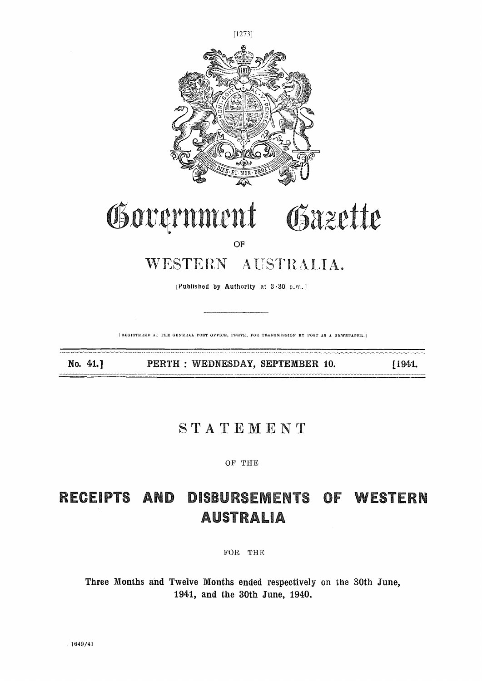

[Published by Authority at 3.30 p.m.]

REGISTERED AT THE GENERAL POST OFFICE, PERTH, FOR TRANSMISSION BY POST AS A NEWSPAPER.]

No. 41.]

PERTH : WEDNESDAY, SEPTEMBER 10.

[1941.

### STATEMENT

OF THE

## RECEIPTS AND DISBURSEMENTS OF WESTERN **AUSTRALIA**

FOR THE

Three Months and Twelve Months ended respectively on the 30th June, 1941, and the 30th June, 1940.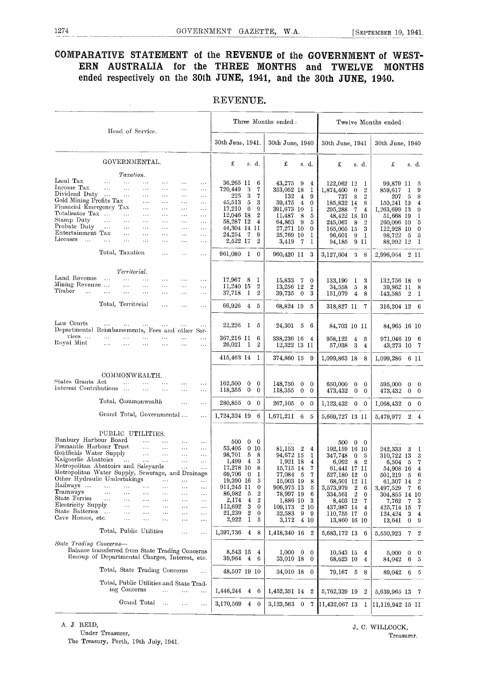### COMPARATIVE STATEMENT of the REVENUE of the GOVERNMENT of WEST-ERN AUSTRALIA for the THREE MONTHS and TWELVE MONTHS ended respectively on the 30th JUNE, 1941, and the 30th JUNE, 1940.

| Head of Service.                                                                                                                                                                                                                              | Three Months ended:                                                                                                  |                                                                       | Twelve Months ended:                                       |  |  |  |  |
|-----------------------------------------------------------------------------------------------------------------------------------------------------------------------------------------------------------------------------------------------|----------------------------------------------------------------------------------------------------------------------|-----------------------------------------------------------------------|------------------------------------------------------------|--|--|--|--|
|                                                                                                                                                                                                                                               | 30th June, 1941.<br>30th June, 1940                                                                                  | 30th June, 1941                                                       | 30th June, 1940                                            |  |  |  |  |
| GOVERNMENTAL.                                                                                                                                                                                                                                 | £<br>£<br>s. d.<br>s. d.                                                                                             | £<br>s.d.                                                             | £<br>s. d.                                                 |  |  |  |  |
| Taxation.                                                                                                                                                                                                                                     |                                                                                                                      |                                                                       |                                                            |  |  |  |  |
| $\rm Land\,~Tax$<br>$\cdots$<br>$\cdots$<br>$\cdots$<br>$\cdots$<br>$\cdots$<br>$\cdots$<br>Income Tax<br>$\cdots$<br>$\cdots$<br>$\cdots$<br>$\cdots$<br>$\sim$ $\sim$ $\sim$<br>$\sim$ $\sim$ $\sim$                                        | 36,265 11<br>43,275<br>6<br>-9<br>720,449<br>3<br>7.<br>353,052 18                                                   | 122,062 12<br>4<br>1<br>$\overline{2}$<br>1<br>1,874,400<br>$\theta$  | 99,879 11<br>5<br>9<br>859,617<br>$\mathbf{I}$             |  |  |  |  |
| Dividend Duty<br>$\sim$<br>$\cdots$<br>$\cdots$<br>$\cdots$<br>$\sim$ $\sim$<br>$\sim$ $\sim$<br>Gold Mining Profits Tax<br>$\ldots$<br>$\cdots$<br>$\cdots$<br>$\cdots$                                                                      | 225<br>3<br>7<br>132<br>$\overline{4}$<br>45,513<br>5<br>3<br>39.475<br>$\overline{4}$                               | 9<br>$\overline{2}$<br>8<br>737<br>185,832 14<br>$\overline{0}$<br>8  | $\overline{5}$<br>8<br>207<br>150,241 13<br>$\overline{4}$ |  |  |  |  |
| Financial Emergency Tax<br>$\cdots$<br>$\cdots$<br>$\sim$ $\sim$<br>$\cdots$<br>Totalisator Tax<br>$\cdots$<br>$\ldots$<br>$\cdots$<br>$\cdots$<br>$\sim$ $\sim$ $\sim$                                                                       | 17,210<br>6<br>9<br>391,673 10<br>12,046 18<br>$\overline{2}$<br>11,487<br>8                                         | 1<br>295,288<br>7<br>$\overline{4}$<br>5<br>18<br>48,422<br>10        | 1,263,699 13<br>9<br>51,668 19                             |  |  |  |  |
| Stamp Duty<br>$\cdots$<br>$\ldots$<br>$\sim$ $\sim$ $\sim$<br>$\cdots$<br>$\sim$ $\sim$<br>$\sim$ $\sim$ $\sim$<br>Probate Duty<br>$\cdots$<br>$\sim$ $\sim$ $\sim$<br>$\sim$ $\sim$<br>$\cdots$<br>$\cdots$<br>$\cdots$<br>Entertainment Tax | 58,287 12<br>4<br>64,863<br>9<br>44,304 14 11<br>27,271 10                                                           | 5<br>8<br>2<br>245,067<br>3<br>$\Omega$<br>165,005 15                 | ิธ<br>260.096 10<br>122,928<br>-10<br>$\bf{0}$             |  |  |  |  |
| $\cdots$<br>$\ddotsc$<br>$\cdots$<br>$\cdots$<br>$\cdots$<br>Licenses<br>$\ldots$<br>$\cdots$<br>$\cdots$<br>$\cdots$<br>$\cdots$<br>$\cdots$<br>$\cdots$                                                                                     | 24,254<br>-7<br>9<br>25,769 10<br>2,522 17<br>2<br>3,419<br>-7                                                       | 9<br>96,601<br>1<br>1<br>9<br>94,185<br>11                            | 98,722<br>- 5<br>5<br>88,992 12<br>-1                      |  |  |  |  |
| Total, Taxation<br>$\cdots$<br>$\cdots$                                                                                                                                                                                                       | 961,080<br>1<br>$\overline{0}$<br>960,420 11                                                                         | 3<br>3,127,604<br>3<br>8                                              | 2 11<br>2,996,054                                          |  |  |  |  |
| Territorial.                                                                                                                                                                                                                                  |                                                                                                                      |                                                                       |                                                            |  |  |  |  |
| Land Revenne<br>$\cdots$<br>$\cdots$<br>$\cdots$<br>$\cdots$<br>$\cdots$<br>Mining Revenue<br>$\cdots$<br>$\cdots$<br>$\cdots$<br>$\cdots$<br>$\cdots$<br>Timber<br>$\cdots$<br>$\cdots$<br>$\sim$ $\sim$ $\sim$                              | 17,967 8<br>15.833<br>1<br>$\mathbf 7$<br>11,240 15<br>$\overline{2}$<br>13,256 12                                   | 133,190<br>3<br>$\mathbf{0}$<br>1<br>$\mathbf{2}$<br>34,558<br>8<br>5 | 132,756 18<br>-9<br>39,862 11<br>-8                        |  |  |  |  |
| $\cdots$<br>$\sim$ $\sim$ $\sim$<br>$\cdots$<br>$\cdots$<br>Total, Territorial<br>$\cdots$<br>$\sim$ $\sim$ $\sim$<br>$\cdots$                                                                                                                | 37,718<br>-1<br>$\overline{2}$<br>39,735<br>$\overline{0}$<br>66,926<br>$\overline{4}$<br>$\frac{5}{2}$<br>68,824 19 | 3<br>151,079<br>$\overline{4}$<br>8<br>5<br>318,827 11<br>7           | 143,585 2<br>$\mathbf{I}$<br>316,204 12<br>- 6             |  |  |  |  |
|                                                                                                                                                                                                                                               |                                                                                                                      |                                                                       |                                                            |  |  |  |  |
| Law Courts<br>$\cdots$<br>$\cdots$<br>$\cdots$<br>$\cdots$<br>Departmental Reimbursements, Fees and other Ser-                                                                                                                                | 22,226<br>-1<br>$\tilde{\text{o}}$<br>24,301<br>$\overline{5}$                                                       | -6<br>84,703 10 11                                                    | 84,965 16 10                                               |  |  |  |  |
| vices<br>$\cdots$<br>$\cdots$<br>$\cdots$<br>$\cdots$<br>.<br>$\cdots$<br>Royal Mint-<br>$\cdots$<br>$\cdots$<br>$\cdots$<br>$\cdots$<br>$\sim$ $\sim$ $\sim$<br>$\sim$ $\sim$                                                                | 367,216 11<br>6<br>338,236 16<br>26,021<br>2<br>$\mathbf{I}$<br>12,322 13 11                                         | 958.122<br>5<br>$\overline{4}$<br>4<br>3<br>57,038<br>4               | 971,046 19<br>- 6<br>43,273 10<br>-7                       |  |  |  |  |

#### REVENUE.

| Law Courts<br>Departmental Reimbursements, Fees and other Ser-                                                                                                                                                                                                                                                                                                                                                                    |                                                                                      |                                                                                                                             |                                                                                                                                                    |                                                                                                                                                           | $\ddotsc$                                                                                                                                             | 22,226                                                                                                                                           | $\bf{l}$                                                                                                                                                             | 5                                                                                                                                | 24,301                                                                                                                                                                 | $\overline{5}$                                | 6                                                                       | 84,703 10 11                                                                                                                                                                        |                                                                   |                                                                                                                          | 84,965 16 10                                                                                                                                               |                                                                           |                                                                                               |
|-----------------------------------------------------------------------------------------------------------------------------------------------------------------------------------------------------------------------------------------------------------------------------------------------------------------------------------------------------------------------------------------------------------------------------------|--------------------------------------------------------------------------------------|-----------------------------------------------------------------------------------------------------------------------------|----------------------------------------------------------------------------------------------------------------------------------------------------|-----------------------------------------------------------------------------------------------------------------------------------------------------------|-------------------------------------------------------------------------------------------------------------------------------------------------------|--------------------------------------------------------------------------------------------------------------------------------------------------|----------------------------------------------------------------------------------------------------------------------------------------------------------------------|----------------------------------------------------------------------------------------------------------------------------------|------------------------------------------------------------------------------------------------------------------------------------------------------------------------|-----------------------------------------------|-------------------------------------------------------------------------|-------------------------------------------------------------------------------------------------------------------------------------------------------------------------------------|-------------------------------------------------------------------|--------------------------------------------------------------------------------------------------------------------------|------------------------------------------------------------------------------------------------------------------------------------------------------------|---------------------------------------------------------------------------|-----------------------------------------------------------------------------------------------|
| vices<br>.<br>Royal Mint<br>$\cdots$                                                                                                                                                                                                                                                                                                                                                                                              | $\cdots$<br>$\cdots$                                                                 | .<br>$\cdots$                                                                                                               | $\ddotsc$<br>.                                                                                                                                     | .<br>$\ddotsc$                                                                                                                                            | $\cdots$<br>$\sim$ $\sim$                                                                                                                             | 367,216 11<br>26,021 1                                                                                                                           |                                                                                                                                                                      | 6<br>2                                                                                                                           | 338,236 16<br>12,322 13 11                                                                                                                                             |                                               | 4                                                                       | 958,122<br>57,038                                                                                                                                                                   | 4<br>-3                                                           | 5<br>$\overline{4}$                                                                                                      | 971,046 19<br>43,273 10 7                                                                                                                                  |                                                                           | -6                                                                                            |
|                                                                                                                                                                                                                                                                                                                                                                                                                                   |                                                                                      |                                                                                                                             |                                                                                                                                                    |                                                                                                                                                           |                                                                                                                                                       | 415,463 14 1                                                                                                                                     |                                                                                                                                                                      |                                                                                                                                  | 374,860 15                                                                                                                                                             |                                               | -9                                                                      | 1,099,863 18                                                                                                                                                                        |                                                                   | -8                                                                                                                       | $1,099,286$ 6 11                                                                                                                                           |                                                                           |                                                                                               |
|                                                                                                                                                                                                                                                                                                                                                                                                                                   |                                                                                      | COMMONWEALTH.                                                                                                               |                                                                                                                                                    |                                                                                                                                                           |                                                                                                                                                       |                                                                                                                                                  |                                                                                                                                                                      |                                                                                                                                  |                                                                                                                                                                        |                                               |                                                                         |                                                                                                                                                                                     |                                                                   |                                                                                                                          |                                                                                                                                                            |                                                                           |                                                                                               |
| States Grants Act<br>Interest Contributions                                                                                                                                                                                                                                                                                                                                                                                       | $\ddotsc$                                                                            | $\cdots$                                                                                                                    | $\ddotsc$                                                                                                                                          | $\cdots$<br>$\ddotsc$                                                                                                                                     | $\sim$ $\sim$<br>$\sim 10$                                                                                                                            | 162,500<br>118,355                                                                                                                               | 0<br>$\theta$                                                                                                                                                        | $\mathbf{0}$<br>$\theta$                                                                                                         | 148,750<br>118,355                                                                                                                                                     | $\mathbf{0}$<br>$\mathbf{0}$                  | $\mathbf{0}$<br>$\theta$                                                | 650,000<br>473,432                                                                                                                                                                  | $\overline{0}$<br>$\overline{0}$                                  | $\bf{0}$<br>$\mathbf{0}$                                                                                                 | 595,000<br>473,432                                                                                                                                         | $\mathbf{0}$<br>$\mathbf{0}$                                              | $\bf{0}$<br>$\bf{0}$                                                                          |
| Total, Commonwealth                                                                                                                                                                                                                                                                                                                                                                                                               |                                                                                      |                                                                                                                             |                                                                                                                                                    | $\ddotsc$                                                                                                                                                 | $\cdots$                                                                                                                                              | 280,855                                                                                                                                          | $\mathbf{0}$                                                                                                                                                         | $\overline{0}$                                                                                                                   | 267,105                                                                                                                                                                | $\mathbf{0}$                                  | $\theta$                                                                | 1,123,432                                                                                                                                                                           |                                                                   | $0\quad 0$                                                                                                               | 1,068,432                                                                                                                                                  |                                                                           | $0\quad 0$                                                                                    |
| Grand Total, Governmental                                                                                                                                                                                                                                                                                                                                                                                                         |                                                                                      |                                                                                                                             |                                                                                                                                                    |                                                                                                                                                           | $\cdots$                                                                                                                                              | 1,724,324 19                                                                                                                                     |                                                                                                                                                                      | -6                                                                                                                               | 1,671,211                                                                                                                                                              | 6                                             | -5                                                                      | 5,669,727 13 11                                                                                                                                                                     |                                                                   |                                                                                                                          | 5,479,977                                                                                                                                                  | $\overline{2}$                                                            | $\overline{4}$                                                                                |
| PUBLIC UTILITIES.<br>Bunbury Harbour Board<br>Fremantle Harbour Trust<br>Goldfields Water Supply<br>Kalgoorlie Abattoirs<br>Metropolitan Abattoirs and Saleyards<br>Metropolitan Water Supply, Sewerage, and Drainage<br>Other Hydraulic Undertakings<br>Railways<br>$\ddotsc$<br>Tramways<br>$\sim$ $\sim$<br>State Ferries<br>$\cdots$<br>Electricity Supply<br>State Batteries<br>Cave Houses, etc.<br>Total, Public Utilities | $\cdots$<br>$\ddotsc$<br>$\cdots$<br>$\sim$ $\sim$<br>$\sim$ .<br>$\sim$<br>$\sim$ . | $\cdots$<br>$\cdots$<br>$\ddotsc$<br>$\cdots$<br>$\ldots$<br>$\cdots$<br>$\ldots$<br>$\ldots$<br>$\ddotsc$<br>$\sim$ $\sim$ | $\cdots$<br>$\ddotsc$<br>$\cdots$<br>$\sim 10$<br>$\mathbf{1}$<br>$\cdots$<br>$\sim$ $\sim$ $\sim$<br>$\cdots$<br>$\cdots$<br>$\cdots$<br>$\cdots$ | $\ddotsc$<br>$\cdots$<br>$\cdots$<br>$\cdots$<br>$\cdots$<br>$\cdots$<br>$\ldots$<br>$\ldots$<br>$\cdots$<br>$\cdots$<br>$\cdots$<br>$\cdots$<br>$\cdots$ | $\cdots$<br>$\cdots$<br>$\ldots$<br>$\cdots$<br>$\cdots$<br>.<br>$\cdots$<br>$\sim$ $\sim$<br>$\ddotsc$<br>$\sim$ $\sim$<br>$\cdots$<br>$\cdots$<br>. | 500<br>53,405<br>98,701<br>1,499<br>17,278 10<br>69,706<br>19,390 16<br>911,245 11<br>86,982<br>2,174<br>112,692<br>21,239<br>2,922<br>1,397,736 | $\mathbf{0}$<br>$\mathbf{0}$<br>5<br>$\overline{4}$<br>$\overline{0}$<br>$\overline{5}$<br>$\overline{4}$<br>3<br>$\boldsymbol{2}$<br>$\mathbf{I}$<br>$\overline{4}$ | $\theta$<br>10<br>8<br>3<br>8<br>1<br>5<br>$\mathbf{0}$<br>$\boldsymbol{2}$<br>$\,2\,$<br>$\mathbf 0$<br>$\mathbf{0}$<br>5<br>-8 | $\cdots$<br>81.153<br>94,672 15<br>1,921 18<br>15,715 14<br>77,084 5<br>15,003 19<br>906,975 13<br>78,997 19<br>1,886 10<br>109,173<br>32,583<br>3,172<br>1,418,340 16 | $\overline{2}$<br>$\overline{2}$<br>9<br>4 10 | 4<br>1<br>4<br>7<br>7<br>8<br>5<br>6<br>3<br>-10<br>9<br>$\overline{2}$ | 500<br>192,159 16<br>347,748<br>6,092<br>61,441 17 11<br>527,180 12<br>68,501 12 11<br>3,573,979<br>334,561<br>8,403 12<br>437,987 14<br>110,755 17<br>13,860 16 10<br>5,683,172 13 | $\mathbf{0}$<br>$\bf{0}$<br>8<br>$\overline{2}$<br>$\overline{2}$ | $\bf{0}$<br>-10<br>5<br>$\overline{2}$<br>$\overline{0}$<br>6<br>$\bf{0}$<br>7<br>$\overline{4}$<br>$\overline{0}$<br>-6 | 242,333<br>310,722 13<br>6,504<br>54,908 16<br>501,219<br>61,307 14<br>3,497,529<br>304,855 14 10<br>7,762<br>425,714 15<br>124,424<br>13,641<br>5,550,923 | -3<br>- 5<br>- 5<br>7<br>$\mathbf 7$<br>-3<br>$\bf{0}$<br>$7\phantom{.0}$ | -1<br>3<br>7<br>4<br>-6<br>$\hat{2}$<br>6<br>3<br>7<br>$\overline{4}$<br>-9<br>$\overline{2}$ |
| State Trading Concerns-<br>Balance transferred from State Trading Concerns<br>Recoup of Departmental Charges, Interest, etc.                                                                                                                                                                                                                                                                                                      |                                                                                      |                                                                                                                             |                                                                                                                                                    |                                                                                                                                                           |                                                                                                                                                       | 8,543 15<br>39,964 4                                                                                                                             |                                                                                                                                                                      | 4<br>6                                                                                                                           | 1,000<br>33,010 18                                                                                                                                                     | $\bf{0}$                                      | $\mathbf{0}$<br>$\theta$                                                | 10,543 15<br>68,623 10                                                                                                                                                              |                                                                   | 4<br>4                                                                                                                   | 5,000<br>84,042                                                                                                                                            | $\mathbf{0}$<br>6                                                         | $\mathbf{0}$<br>-5                                                                            |
| Total, State Trading Concerns                                                                                                                                                                                                                                                                                                                                                                                                     |                                                                                      |                                                                                                                             |                                                                                                                                                    |                                                                                                                                                           | $\cdots$                                                                                                                                              | 48,507 19 10                                                                                                                                     |                                                                                                                                                                      |                                                                                                                                  | 34,010 18                                                                                                                                                              |                                               | $\theta$                                                                | 79,167 5                                                                                                                                                                            |                                                                   | 8                                                                                                                        | 89,042 6 5                                                                                                                                                 |                                                                           |                                                                                               |
| Total, Public Utilities and State Trad-                                                                                                                                                                                                                                                                                                                                                                                           | ing Concerns                                                                         |                                                                                                                             | $\ddotsc$                                                                                                                                          | $\ddotsc$                                                                                                                                                 | $\cdots$                                                                                                                                              | 1,446,244                                                                                                                                        |                                                                                                                                                                      | $4\quad 6$                                                                                                                       | 1,452,351 14 2                                                                                                                                                         |                                               |                                                                         | 5,762,339 19                                                                                                                                                                        |                                                                   | $\overline{2}$                                                                                                           | 5,639,965 13 7                                                                                                                                             |                                                                           |                                                                                               |
|                                                                                                                                                                                                                                                                                                                                                                                                                                   | Grand Total                                                                          |                                                                                                                             | $\ldots$                                                                                                                                           | $\sim$                                                                                                                                                    | $\cdots$                                                                                                                                              | 3,170,569                                                                                                                                        |                                                                                                                                                                      | $4\quad 0$                                                                                                                       | 3,123,563 0                                                                                                                                                            |                                               |                                                                         | 7 11,432,067 13                                                                                                                                                                     |                                                                   | $\mathbf{I}$                                                                                                             | 11.119.942 15 11                                                                                                                                           |                                                                           |                                                                                               |
|                                                                                                                                                                                                                                                                                                                                                                                                                                   |                                                                                      |                                                                                                                             |                                                                                                                                                    |                                                                                                                                                           |                                                                                                                                                       |                                                                                                                                                  |                                                                                                                                                                      |                                                                                                                                  |                                                                                                                                                                        |                                               |                                                                         |                                                                                                                                                                                     |                                                                   |                                                                                                                          |                                                                                                                                                            |                                                                           |                                                                                               |

The Treasury, Perth, 19th July, 1941.

A. J. REID, J. C. WILLCOCK, Under Treasurer, Western Control of Treasurer.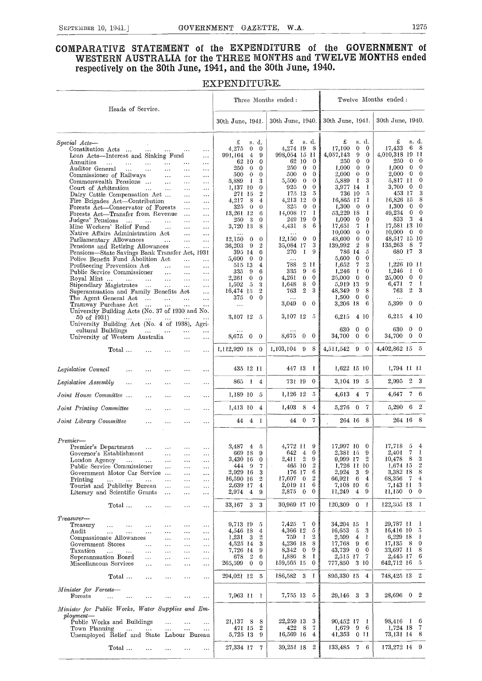#### COMPARATIVE STATEMENT of the EXPENDITURE of the GOVERNMENT of WESTERN AUSTRALIA for the THREE MONTHS and TWELVE MONTHS ended respectively on the 30th June, 1941, and the 30th June, 1940.

#### EXPENDITURE.

|                                                                                                                                                                                                                                                                                                                                                                                                                                                                                                                                                                                                                                                                                                                                                                                                                                                                                                                                                                                                                                                                                                                               | Three Months ended:                                                                                                                                                                                                                                                                                                                                                                                                                                                        |                                                                                                                                                                                                                                                                                                                                                                                                                                                   | Twelve Months ended:                                                                                                                                                                                                                                                                                                                                                                                                                                                                                                                                                 |                                                                                                                                                                                                                                                                                                                                                                                                                                                                |
|-------------------------------------------------------------------------------------------------------------------------------------------------------------------------------------------------------------------------------------------------------------------------------------------------------------------------------------------------------------------------------------------------------------------------------------------------------------------------------------------------------------------------------------------------------------------------------------------------------------------------------------------------------------------------------------------------------------------------------------------------------------------------------------------------------------------------------------------------------------------------------------------------------------------------------------------------------------------------------------------------------------------------------------------------------------------------------------------------------------------------------|----------------------------------------------------------------------------------------------------------------------------------------------------------------------------------------------------------------------------------------------------------------------------------------------------------------------------------------------------------------------------------------------------------------------------------------------------------------------------|---------------------------------------------------------------------------------------------------------------------------------------------------------------------------------------------------------------------------------------------------------------------------------------------------------------------------------------------------------------------------------------------------------------------------------------------------|----------------------------------------------------------------------------------------------------------------------------------------------------------------------------------------------------------------------------------------------------------------------------------------------------------------------------------------------------------------------------------------------------------------------------------------------------------------------------------------------------------------------------------------------------------------------|----------------------------------------------------------------------------------------------------------------------------------------------------------------------------------------------------------------------------------------------------------------------------------------------------------------------------------------------------------------------------------------------------------------------------------------------------------------|
| Heads of Service.                                                                                                                                                                                                                                                                                                                                                                                                                                                                                                                                                                                                                                                                                                                                                                                                                                                                                                                                                                                                                                                                                                             | 30th June, 1941.                                                                                                                                                                                                                                                                                                                                                                                                                                                           | 30th June, 1940.                                                                                                                                                                                                                                                                                                                                                                                                                                  | 30th June, 1941.                                                                                                                                                                                                                                                                                                                                                                                                                                                                                                                                                     | 30th June, 1940.                                                                                                                                                                                                                                                                                                                                                                                                                                               |
| $Special$ $\;Acts$ --<br>Constitution Acts<br>$\cdots$<br>$\cdots$<br>Loan Acts—Interest and Sinking Fund<br>$\ldots$<br>Annuities<br>$\ddotsc$<br>$\cdots$<br>$\cdots$<br>$\ddotsc$<br>$\ddotsc$<br>$\cdots$<br>Auditor General<br>$\ddotsc$<br>$\cdots$<br>$\cdots$<br>$\ldots$<br>$\cdots$<br>Commissioner of Railways<br>$\cdots$<br>$\cdots$<br>$\cdots$<br>Commonwealth Pensions<br>$\ddotsc$<br>$\sim$ $\sim$<br>$\cdots$<br>Court of Arbitration<br>$\ddotsc$<br>$\cdots$<br>$\cdots$<br>$\cdots$<br>Dairy Cattle Compensation Act<br>$\ldots$<br>$\cdots$<br>Fire Brigades Act—Contribution<br>$\sim 10$<br>.<br>Forests Act-Conservator of Forests<br>$\ldots$<br>$\cdots$<br>Forests Act-Transfer from Revenue<br>$\ddotsc$<br>$\cdots$<br>Judges' Pensions<br>$\ddotsc$<br>$\sim 10$<br>$\cdots$<br>Mine Workers' Relief Fund<br>$\sim$<br>$\ldots$<br>$\cdots$<br>Native Affairs Administration Act<br>$\ddotsc$<br>$\ldots$<br>Parliamentary Allowances<br>$\ddotsc$<br>$\ldots$<br>$\sim$ $\sim$<br>Pensions and Retiring Allowances<br>$\ldots$<br>$\cdots$<br>Pensions-State Savings Bank Transfer Act, 1931 | £<br>s. d.<br>$\mathbf{0}$<br>$\mathbf{0}$<br>4,275<br>$\overline{4}$<br>9<br>991,164<br>62 10<br>$\mathbf{0}$<br>250<br>$\theta$<br>0<br>$\theta$<br>500.<br>$\mathbf{0}$<br>1<br>3<br>5,889<br>1,137 10<br>0<br>$\overline{2}$<br>271 15<br>8<br>4,217<br>4<br>325<br>$\theta$<br>$\theta$<br>13,261 12<br>6<br>3<br>$\mathbf{0}$<br>250<br>3,720 13<br>8<br>$\bf{0}$<br>12,150<br>$\bf{0}$<br>$\boldsymbol{2}$<br>36,203<br>-9<br>395 14<br>6<br>$\bf{0}$<br>5,600<br>0 | £<br>s. d.<br>4,274 19<br>- 8<br>998,054 15 11<br>62 10<br>$\theta$<br>$\overline{0}$<br>250<br>$\theta$<br>$\overline{0}$<br>$^{\circ}$<br>500<br>$\theta$<br>$\theta$<br>5,500<br>$\overline{0}$<br>$\theta$<br>925<br>- 5<br>175 13<br>4,213 12<br>$\theta$<br>325<br>$\overline{0}$<br>$\bf{0}$<br>- 1<br>14,008 17<br>249 19<br>$\mathbf{0}$<br>4,431<br>- 8<br>6<br>$\overline{0}$<br>$\bf{0}$<br>12,150<br>35,084 17<br>3<br>9<br>270<br>1 | s. d.<br>£<br>$\mathbf{0}$<br>17,100<br>$\mathbf{0}$<br>4,057,143<br>9<br>$\mathbf{0}$<br>250<br>$\mathbf{0}$<br>$\theta$<br>1,000<br>$\theta$<br>$\mathbf{0}$<br>2,000<br>$\theta$<br>$\mathbf{0}$<br>5,889<br>-1<br>3<br>3,977 14<br>1<br>736 10<br>-5<br>16,865 17<br>ı<br>1,300<br>$\bf{0}$<br>$\theta$<br>1<br>53,229 18<br>1,000<br>$\mathbf{0}$<br>$\mathbf{0}$<br>17,651<br>$\overline{7}$<br>1<br>10,000<br>$\theta$<br>$\mathbf{0}$<br>48,600<br>$\overline{0}$<br>$\bf{0}$<br>139,992<br>$\overline{2}$<br>8<br>786 14<br>5<br>5,600<br>$\mathbf{0}$<br>0 | £<br>s. d.<br>17,433<br>6 8<br>4,010,318 19 11<br>250<br>$\mathbf{0}$<br>$\bf{0}$<br>$\overline{0}$<br>$\mathbf{0}$<br>1.000<br>$\mathbf{0}$<br>$\mathbf{0}$<br>2.000<br>$\mathbf{0}$<br>5,817 11<br>3,700<br>$\overline{0}$<br>0<br>453 17<br>3<br>8<br>16,826 15<br>$\mathbf 0$<br>1,300<br>$\mathbf{0}$<br>$\mathbf{0}$<br>49,234<br>$\mathbf{0}$<br>34<br>833<br>17,581 13 10<br>10,000<br>$0\quad 0$<br>48,517 15 10<br>135,263<br>- 8<br>- 7<br>680 17 3 |
| Police Benefit Fund Abolition Act<br>$\sim 10$<br>$\cdots$<br>Profiteering Prevention Act<br>$\ddotsc$<br>$\cdots$<br>$\cdots$<br>Public Service Commissioner<br>$\mathbf{1}$ .<br>$\sim$ $\sim$ $\sim$<br>$\ldots$<br>Royal Mint<br>$\ddotsc$<br>$\ldots$<br>$\ldots$<br>Stipendiary Magistrates<br>$\cdots$<br>$\sim$ $\sim$ $\sim$<br>$\ldots$<br>Superannuation and Family Benefits Act<br>$\ddotsc$<br>The Agent General Act<br>$\overline{1}$ and<br>$\ddotsc$<br>$\ldots$<br>Tramway Purchase Act<br>$\sim$<br>$\ddotsc$<br>University Building Acts (No. 37 of 1930 and No.<br>50 of 1931)<br>and the state of the<br>$\cdots$<br>$\ldots$<br>University Building Act (No. 4 of 1938), Agri-<br>cultural Buildings<br>$\ddotsc$<br>$\cdots$<br>$\cdots$<br>University of Western Australia<br>$\ddotsc$<br>$\cdots$                                                                                                                                                                                                                                                                                                   | 515 13<br>4<br>- 9<br>6<br>335<br>2.261<br>0<br>0<br>-5<br>1,502<br>3<br>16,474 15<br>$\overline{2}$<br>375<br>$\overline{0}$<br>$\mathbf{0}$<br>$\cdots$<br>3,107 12 5<br>8,675 0 0                                                                                                                                                                                                                                                                                       | $\ddotsc$<br>2 11<br>788<br>9<br>335<br>6<br>4,261<br>$\mathbf{0}$<br>$\mathbf{0}$<br>8<br>$\mathbf{0}$<br>1,648<br>$\boldsymbol{2}$<br>3<br>763<br>3,049<br>$\mathbf{0}$<br>$\bf{0}$<br>3,107 12 5<br>8,675<br>$\mathbf{0}$<br>$\bf{0}$                                                                                                                                                                                                          | 1,652<br>$\overline{7}$<br>$\boldsymbol{2}$<br>1,246<br>1<br>0<br>25,000<br>$\mathbf{0}$<br>$\mathbf{0}$<br>5,919 13<br>9<br>8<br>48,349<br>9<br>1,500<br>$\bf{0}$<br>$\mathbf 0$<br>3,206 18<br>6<br>6,215<br>4 10<br>630<br>$\bf{0}$<br>$\mathbf{0}$<br>34,700<br>$\mathbf{0}$<br>$\mathbf{0}$                                                                                                                                                                                                                                                                     | 1,226 10 11<br>1,246<br>$1 \quad 0$<br>$0 \quad 0$<br>25.000<br>7<br>6,471<br>1<br>$\overline{2}$<br>3<br>763<br>$\overline{0}$<br>$\overline{0}$<br>5,399<br>$6{,}215$<br>4 10<br>630<br>$0\quad 0$<br>34,700 0 0                                                                                                                                                                                                                                             |
| Total<br>$\ddotsc$<br>.                                                                                                                                                                                                                                                                                                                                                                                                                                                                                                                                                                                                                                                                                                                                                                                                                                                                                                                                                                                                                                                                                                       | 1,112,920 18 0                                                                                                                                                                                                                                                                                                                                                                                                                                                             | 1,103,104 9 8                                                                                                                                                                                                                                                                                                                                                                                                                                     | 4,511,542 9<br>$\mathbf{0}$                                                                                                                                                                                                                                                                                                                                                                                                                                                                                                                                          | 4,402,862 15 5                                                                                                                                                                                                                                                                                                                                                                                                                                                 |
| Legislative Council<br>$\ddotsc$<br>$\cdots$<br>$\ddotsc$<br>.<br>$\sim$ $\sim$                                                                                                                                                                                                                                                                                                                                                                                                                                                                                                                                                                                                                                                                                                                                                                                                                                                                                                                                                                                                                                               | 435 12 11                                                                                                                                                                                                                                                                                                                                                                                                                                                                  | 447 13 1                                                                                                                                                                                                                                                                                                                                                                                                                                          | 1,622 15 10                                                                                                                                                                                                                                                                                                                                                                                                                                                                                                                                                          | 1,794 11 11                                                                                                                                                                                                                                                                                                                                                                                                                                                    |
| Legislative Assembly<br>$\cdots$<br>$\ddotsc$<br>$\ddotsc$<br>$\ddotsc$<br>$\cdots$                                                                                                                                                                                                                                                                                                                                                                                                                                                                                                                                                                                                                                                                                                                                                                                                                                                                                                                                                                                                                                           | 865 1 4                                                                                                                                                                                                                                                                                                                                                                                                                                                                    | $\bf{0}$<br>731 19                                                                                                                                                                                                                                                                                                                                                                                                                                | 3,104 19 5                                                                                                                                                                                                                                                                                                                                                                                                                                                                                                                                                           | 2,995 2 3                                                                                                                                                                                                                                                                                                                                                                                                                                                      |
| Joint House Committee<br>$\cdots$<br>$\cdots$<br>$\ddotsc$<br>.                                                                                                                                                                                                                                                                                                                                                                                                                                                                                                                                                                                                                                                                                                                                                                                                                                                                                                                                                                                                                                                               | 1,189 10 5                                                                                                                                                                                                                                                                                                                                                                                                                                                                 | 1,126 12 5                                                                                                                                                                                                                                                                                                                                                                                                                                        | 4,613 4 7                                                                                                                                                                                                                                                                                                                                                                                                                                                                                                                                                            | 4,647 7 6                                                                                                                                                                                                                                                                                                                                                                                                                                                      |
| Joint Printing Committee<br>$\cdots$<br>$\ddotsc$<br>$\cdots$<br>.                                                                                                                                                                                                                                                                                                                                                                                                                                                                                                                                                                                                                                                                                                                                                                                                                                                                                                                                                                                                                                                            | 1,413 10 4                                                                                                                                                                                                                                                                                                                                                                                                                                                                 | $1,403$ 8<br>$\overline{4}$                                                                                                                                                                                                                                                                                                                                                                                                                       | 5,276 0 7                                                                                                                                                                                                                                                                                                                                                                                                                                                                                                                                                            | $5,290$ 6 2                                                                                                                                                                                                                                                                                                                                                                                                                                                    |
| Joint Library Committee<br>$\ddotsc$<br>.<br>$\ddotsc$<br>$\cdots$                                                                                                                                                                                                                                                                                                                                                                                                                                                                                                                                                                                                                                                                                                                                                                                                                                                                                                                                                                                                                                                            | 44 4 1                                                                                                                                                                                                                                                                                                                                                                                                                                                                     | 44 0 7                                                                                                                                                                                                                                                                                                                                                                                                                                            | 264 16 8                                                                                                                                                                                                                                                                                                                                                                                                                                                                                                                                                             | 264 16 8                                                                                                                                                                                                                                                                                                                                                                                                                                                       |
| Premier-<br>Premier's Department<br>$\sim$ $\sim$ $\sim$<br>$\cdots$<br>$\cdots$<br>$\cdots$<br>Governor's Establishment<br>London Agency<br>$\ldots$<br>$\cdots$<br><br>Public Service Commissioner<br>$\ldots$<br>$\cdots$<br><br>Government Motor Car Service<br>$\cdots$<br>$\cdots$<br>Printing<br>$\ldots$<br>$\mathbf{1}_{\mathbf{1},\mathbf{2}}$ , and $\mathbf{1}_{\mathbf{2},\mathbf{3}}$ , and $\mathbf{1}_{\mathbf{3},\mathbf{4}}$<br>$\cdots$<br>$\cdots$<br>$\cdots$<br>Tourist and Publicity Bureau<br>$\ldots$<br><br><br>Literary and Scientific Grants<br>$\sim$ .<br>.<br>$\cdots$                                                                                                                                                                                                                                                                                                                                                                                                                                                                                                                         | 3,487 4 5<br>9<br>669 18<br>3,430 16<br>$\mathbf{0}$<br>444 9<br>7<br>2,929 16<br>3<br>16,590 16<br>$\boldsymbol{2}$<br>2,639 17<br>$\mathbf{4}^{\cdot}$<br>2,974 4<br>9.                                                                                                                                                                                                                                                                                                  | 4,772 11 9<br>$\mathbf{0}$<br>642 4<br>2,411 2<br>-9<br>$\overline{2}$<br>465 10<br>176 17<br>6<br>17,607 0<br>$\boldsymbol{2}$<br>2,019 11<br>6<br>$2,875$ 0<br>0                                                                                                                                                                                                                                                                                | 17,997 10 0<br>2,381 15 9<br>9,999 17 2<br>1,726 11 10<br>2,924<br>9<br>3<br>6<br>66,921<br>4<br>7,108 10<br>6<br>$11,249$ 4<br>9                                                                                                                                                                                                                                                                                                                                                                                                                                    | 17,718<br>5<br>$-4$<br>2.401 7<br>1<br>10,478 8 3<br>$1,674$ 15 2<br>3,382 18<br>8<br>68,356 7<br>$\overline{4}$<br>-3<br>7,143 11<br>$11,150$ 0<br>$\mathbf{0}$                                                                                                                                                                                                                                                                                               |
| Total<br>$\ldots$<br>$\ddotsc$<br>$\cdots$<br>$\cdots$                                                                                                                                                                                                                                                                                                                                                                                                                                                                                                                                                                                                                                                                                                                                                                                                                                                                                                                                                                                                                                                                        | 33,167 3 3                                                                                                                                                                                                                                                                                                                                                                                                                                                                 | 30,969 17 10                                                                                                                                                                                                                                                                                                                                                                                                                                      | $120,309$ 0 1                                                                                                                                                                                                                                                                                                                                                                                                                                                                                                                                                        | 122,305 13 1                                                                                                                                                                                                                                                                                                                                                                                                                                                   |
| Treasurer-<br>Treasury<br>$\cdots$<br>$\ldots$<br>$\ddotsc$<br>$\cdots$<br>$\ldots$<br>$\cdots$<br>Audit<br>$\ddotsc$<br>$\ddotsc$<br>$\ddotsc$<br>$\cdots$<br>$\cdots$<br>$\ldots$<br>Compassionate Allowances<br>$\dots$<br>$\cdots$<br>$\ldots$<br>Government Stores<br>$\ldots$<br>$\ldots$<br>$\cdots$<br>$\ddotsc$<br>Taxation<br>$\cdots$<br>$\sim 10$<br>$\ldots$<br>$\ddotsc$<br>$\cdots$<br>$\ddotsc$<br>Superannuation Board<br>$\cdots$<br>$\cdots$<br>$\ldots$<br>$\cdots$<br>Miscellaneous Services<br>$\ldots$<br>$\cdots$<br>$\cdots$<br><br>Total                                                                                                                                                                                                                                                                                                                                                                                                                                                                                                                                                            | 9,713 19 5<br>4,546 18<br>4<br>$\overline{2}$<br>$1,231 \quad 3$<br>4,525 14<br>3<br>7,726 14<br>9<br>678<br>$\overline{2}$<br>6<br>$265,599$ 0<br>0<br>294,021 12 5                                                                                                                                                                                                                                                                                                       | 7,425 7<br>$\bf{0}$<br>4,366 12<br>5<br>759 1<br>$\overline{2}$<br>4,236 18<br>8<br>8,342 0<br>9<br>1,886 8<br>-1<br>159,565 15 0<br>186,582 3 1                                                                                                                                                                                                                                                                                                  | 34,204 15<br>1<br>16,653<br>3<br>5<br>2,599<br>$4\phantom{.}$<br>1<br>17,768<br>9<br>6<br>43,739<br>$\bf{0}$<br>$\bf{0}$<br>2,515 17<br>7<br>777,850 3 10<br>895,330 15 4                                                                                                                                                                                                                                                                                                                                                                                            | 29,787 11 1<br>16,416 10 5<br>6,229 18 1<br>$17,135$ 8 0<br>33,697 11<br>-8<br>2,445 17<br>6<br>642,712 16 5<br>748,425 13 2                                                                                                                                                                                                                                                                                                                                   |
| $\cdots$<br>$\cdots$<br>$\ddotsc$<br>$\cdots$<br>Minister for Forests-                                                                                                                                                                                                                                                                                                                                                                                                                                                                                                                                                                                                                                                                                                                                                                                                                                                                                                                                                                                                                                                        |                                                                                                                                                                                                                                                                                                                                                                                                                                                                            |                                                                                                                                                                                                                                                                                                                                                                                                                                                   |                                                                                                                                                                                                                                                                                                                                                                                                                                                                                                                                                                      |                                                                                                                                                                                                                                                                                                                                                                                                                                                                |
| Forests<br>$\ddotsc$<br>.<br>$\cdots$<br>$\cdots$                                                                                                                                                                                                                                                                                                                                                                                                                                                                                                                                                                                                                                                                                                                                                                                                                                                                                                                                                                                                                                                                             | 7,963 11 1                                                                                                                                                                                                                                                                                                                                                                                                                                                                 | 7,755 13 5                                                                                                                                                                                                                                                                                                                                                                                                                                        | 29,146 3 3                                                                                                                                                                                                                                                                                                                                                                                                                                                                                                                                                           | 28,696 0 2                                                                                                                                                                                                                                                                                                                                                                                                                                                     |
| Minister for Public Works, Water Supplies and Em-<br>$p$ loyment—<br>Public Works and Buildings<br>$\cdots$<br>$\ddotsc$<br>$\cdots$<br>Town Planning<br>$\cdots$<br>$\cdots$<br>Unemployed Relief and State Labour Bureau                                                                                                                                                                                                                                                                                                                                                                                                                                                                                                                                                                                                                                                                                                                                                                                                                                                                                                    | 21,137 8<br>-8<br>$\boldsymbol{2}$<br>471 15<br>5,725 13<br>9                                                                                                                                                                                                                                                                                                                                                                                                              | 22,259 13<br>- 3<br>422 8<br>-7<br>16,569 16<br>$\overline{4}$                                                                                                                                                                                                                                                                                                                                                                                    | 90,452 17 1<br>1,679<br>9<br>6<br>41,353<br>0 11                                                                                                                                                                                                                                                                                                                                                                                                                                                                                                                     | 98,416 1 6<br>1,724 18 7<br>73,131 14 8                                                                                                                                                                                                                                                                                                                                                                                                                        |
| Total<br>$\cdots$<br>$\cdots$<br>$\cdots$<br>$\cdots$                                                                                                                                                                                                                                                                                                                                                                                                                                                                                                                                                                                                                                                                                                                                                                                                                                                                                                                                                                                                                                                                         | 27,334 17<br>$\mathbf{7}$                                                                                                                                                                                                                                                                                                                                                                                                                                                  | 39,251 18 2                                                                                                                                                                                                                                                                                                                                                                                                                                       | 133,485 7<br>6                                                                                                                                                                                                                                                                                                                                                                                                                                                                                                                                                       | 173,272 14 9                                                                                                                                                                                                                                                                                                                                                                                                                                                   |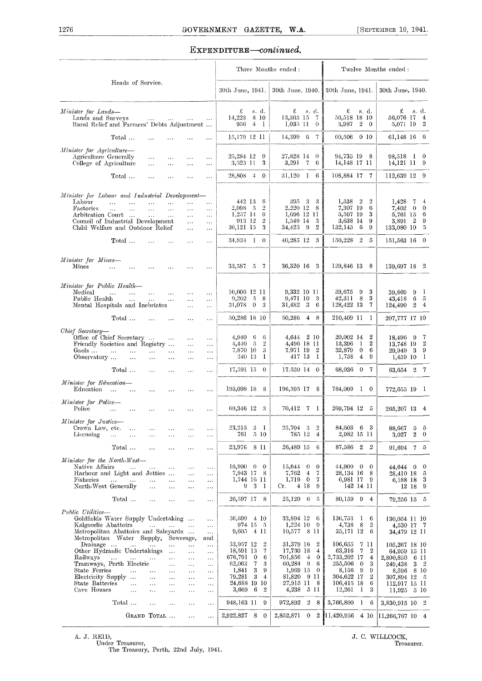#### EXPENDITURE-continued.

|                                                                                                                                                                                                                                                                                                                                                                                                                                                                                                        |                                                                                               | Three Months ended:                                                                                                                                                                                               |                                                                                                                                                                          | Twelve Months ended:                                                                                                                                                                                                            |                                                                                                                                                  |
|--------------------------------------------------------------------------------------------------------------------------------------------------------------------------------------------------------------------------------------------------------------------------------------------------------------------------------------------------------------------------------------------------------------------------------------------------------------------------------------------------------|-----------------------------------------------------------------------------------------------|-------------------------------------------------------------------------------------------------------------------------------------------------------------------------------------------------------------------|--------------------------------------------------------------------------------------------------------------------------------------------------------------------------|---------------------------------------------------------------------------------------------------------------------------------------------------------------------------------------------------------------------------------|--------------------------------------------------------------------------------------------------------------------------------------------------|
| Heads of Service.                                                                                                                                                                                                                                                                                                                                                                                                                                                                                      |                                                                                               | 30th June, 1941.                                                                                                                                                                                                  | 30th June, 1940.                                                                                                                                                         | $30th$ June, 1941.                                                                                                                                                                                                              | 30th June, 1940.                                                                                                                                 |
| Minister for Lands-<br>Lands and Surveys<br><b>Sales Control</b><br>$\sim 100$<br><b>Section</b><br>Rural Relief and Farmers' Debts Adjustment                                                                                                                                                                                                                                                                                                                                                         | $\cdots$                                                                                      | £<br>s. d.<br>8 10<br>14,223<br>956<br>$4 \quad 1$                                                                                                                                                                | £<br>s. d.<br>13,363 15<br>$\tau$<br>1.035 11<br>$\theta$                                                                                                                | £<br>s. d.<br>56,518 18 10<br>$\overline{2}$<br>3,987<br>$\mathbf{0}$                                                                                                                                                           | £<br>s. d.<br>56,076 17<br>$\overline{4}$<br>5,071 19 2                                                                                          |
| Total<br>and the state of the state of<br>$\cdots$                                                                                                                                                                                                                                                                                                                                                                                                                                                     | $\ldots$                                                                                      | 15,179 12 11                                                                                                                                                                                                      | 14,399 6 7                                                                                                                                                               | 60,506 0 10                                                                                                                                                                                                                     | 61,148 16 6                                                                                                                                      |
| Minister for Agriculture-<br>Agriculture Generally<br>$\cdots$<br>$\cdots$<br>$\ldots$<br>College of Agriculture<br>$\cdots$<br>$\ddots$<br>$\cdots$                                                                                                                                                                                                                                                                                                                                                   | $\cdots$<br>$\ldots$                                                                          | 25,284 12<br>9<br>3,523 11<br>3                                                                                                                                                                                   | 27,828 14 0<br>3,291<br>$\overline{7}$<br>6                                                                                                                              | 94,735 19 8<br>14,148 17 11                                                                                                                                                                                                     | 98,518 1 0<br>14,121 11 9                                                                                                                        |
| Total<br>$\ddotsc$<br>$\cdots$<br>$\cdots$                                                                                                                                                                                                                                                                                                                                                                                                                                                             | $\cdots$                                                                                      | 28,808 4<br>$\overline{0}$                                                                                                                                                                                        | $31,120$ 1<br>-6                                                                                                                                                         | 108,884 17 7                                                                                                                                                                                                                    | 112,639 12 9                                                                                                                                     |
| Minister for Labour and Industrial Development-<br>Labour<br>$\dddotsc$<br>$\cdots$<br>$\dddotsc$<br>$\cdots$<br>$\ldots$<br>Factories<br>$\dddotsc$<br>$\ddotsc$<br>$\ldots$<br>$\ldots$<br>$\ddotsc$<br>Arbitration Court<br>$\mathbf{1}$<br>$\ldots$<br>$\ldots$<br>Council of Industrial Development<br>$\ddotsc$                                                                                                                                                                                  | $\ldots$<br>$\dots$<br>$\dots$<br>$\ldots$                                                    | 442 13<br>-8<br>2,098 5<br>$\overline{2}$<br>$1,257$ 14<br>9<br>913 12<br>$\overline{2}$                                                                                                                          | 395 3 3<br>2,220 12<br>8<br>1,696 12 11<br>1,549 14<br>-3                                                                                                                | 1,538<br>$\mathbf{2}$<br>$\overline{2}$<br>7,307 19<br>6<br>5,597 19<br>3<br>3,638 14<br>9                                                                                                                                      | 1,428<br>7<br>$\bf{4}$<br>7,402<br>$\overline{0}$<br>$\mathbf 0$<br>5,761 15<br>6<br>$\overline{2}$<br>$\boldsymbol{9}$<br>3.891                 |
| Child Welfare and Outdoor Relief<br>$\ddotsc$                                                                                                                                                                                                                                                                                                                                                                                                                                                          | $\dots$                                                                                       | 30,121 15<br>3                                                                                                                                                                                                    | $\overline{2}$<br>34,423<br>-9                                                                                                                                           | 132,145<br>- 6<br>9                                                                                                                                                                                                             | 133,080 10<br>5                                                                                                                                  |
| Total<br>$\ddots$<br>$\cdots$<br>$\cdots$                                                                                                                                                                                                                                                                                                                                                                                                                                                              | $\cdots$                                                                                      | $34,834$ 1 0                                                                                                                                                                                                      | $40,285$ 12 3                                                                                                                                                            | $150,228$ 2<br>5                                                                                                                                                                                                                | $151,563$ 16 0                                                                                                                                   |
| Minister for Mines-<br>Mines<br>$\ddotsc$<br>$\sim 100$ km s $^{-1}$<br>$\cdots$<br>$\sim 10$<br>$\cdots$                                                                                                                                                                                                                                                                                                                                                                                              | $\cdots$                                                                                      | 33,587 5 7                                                                                                                                                                                                        | 36,320 16 3                                                                                                                                                              | 129,846 13 8                                                                                                                                                                                                                    | 139,697 18 2                                                                                                                                     |
| Minister for Public Health-<br>Medical<br>$\sim 10^{-1}$<br>$\mathbf{1}_{\mathbf{1}_{\mathbf{2}}\mathbf{3}_{\mathbf{3}}\mathbf{4}_{\mathbf{4}}\mathbf{5}_{\mathbf{5}_{\mathbf{5}}\mathbf{6}_{\mathbf{6}}\mathbf{6}_{\mathbf{7}}\mathbf{6}_{\mathbf{8}}\mathbf{7}_{\mathbf{9}}$<br>$\cdots$<br>$\cdots$<br>Public Health<br>$\ldots$<br>$\ldots$<br>Mental Hospitals and Inebriates<br>$\ldots$                                                                                                         | $\cdots$<br>$\ldots$<br>$\ddotsc$                                                             | 10,006 12 11<br>9,202<br>$\cdot$ 5<br>8<br>$\theta$<br>31,078<br>3                                                                                                                                                | 9,332 10 11<br>9,471 10<br>-3<br>31,482 3<br>6                                                                                                                           | 3<br>39,675<br>$_{9}$<br>3<br>42,311<br>$\mathbf{8}$<br>7<br>128,422 13                                                                                                                                                         | 39,869<br>9<br>-1<br>$6\phantom{.0}$<br>43,418<br>5<br>124,490<br>$\overline{2}$<br>$\overline{4}$                                               |
| Total<br>$\ddotsc$<br>$\ldots$<br>$\ldots$                                                                                                                                                                                                                                                                                                                                                                                                                                                             | $\ddotsc$                                                                                     | 50,286 18 10                                                                                                                                                                                                      | 50,286 4 8                                                                                                                                                               | 210,409 11<br>-1                                                                                                                                                                                                                | 207,777 17 10                                                                                                                                    |
| Chief Secretary-<br>Office of Chief Secretary<br>$\sim 100$ and $\sim 100$<br>$\ldots$<br>Friendly Societies and Registry<br>$\ddotsc$<br>Gaols<br>$\cdots$<br>$\mathbf{1}$<br>$\cdots$<br>$\ldots$<br>$\ldots$<br>Observatory<br>$\ldots$<br>$\ldots$<br>$\cdots$<br>$\cdots$                                                                                                                                                                                                                         | $\cdots$<br>$\ddotsc$<br>$\ldots$<br>$\ldots$                                                 | 4,940<br>$\epsilon$<br>6<br>-5<br>$\overline{2}$<br>4,440<br>7.870 10<br>3<br>340 13<br>1                                                                                                                         | 4,644 2 10<br>4,496 18 11<br>7,971 19<br>$\boldsymbol{2}$<br>417 13<br>-1                                                                                                | 20,002 14<br>$\boldsymbol{2}$<br>$\boldsymbol{2}$<br>13,396<br>-1<br>32,879<br>$\mathbf{0}$<br>6<br>1,758<br>$\overline{4}$<br>9                                                                                                | 7<br>18,496 9<br>$\overline{2}$<br>13,748 19<br>$\overline{\mathbf{3}}$<br>9<br>29,949<br>1,459 10<br>$\mathbf{1}$                               |
| Total<br>$\cdots$<br>$\cdots$<br>$\ddotsc$                                                                                                                                                                                                                                                                                                                                                                                                                                                             | $\cdots$                                                                                      | 17,591 15 0                                                                                                                                                                                                       | 17.530 14 0                                                                                                                                                              | 68,036<br>0 <sub>7</sub>                                                                                                                                                                                                        | 63,654 2 7                                                                                                                                       |
| Minister for Education-<br>Education<br>$\cdots$ $\cdots$<br>$\cdots$<br>$\cdots$<br>$\ddotsc$                                                                                                                                                                                                                                                                                                                                                                                                         | $\ddotsc$                                                                                     | 195,098 18 8                                                                                                                                                                                                      | 196,595 17 8                                                                                                                                                             | 784,009 1 0                                                                                                                                                                                                                     | 772,655 19 l                                                                                                                                     |
| Minister for Police-<br>Police<br>$\mathbf{1}$<br>$\sim 100$ km s $^{-1}$<br>$\ddotsc$<br>$\ddotsc$<br>$\ddotsc$                                                                                                                                                                                                                                                                                                                                                                                       | $\cdots$                                                                                      | 69,346 12 3                                                                                                                                                                                                       | 70,412 7 1                                                                                                                                                               | 269,794 12 5                                                                                                                                                                                                                    | 265,207 13<br>$\overline{4}$                                                                                                                     |
| Minister for Justice-<br>Crown Law, etc.<br>$\ddotsc$<br>Licensing<br>i vi<br>$\ddotsc$                                                                                                                                                                                                                                                                                                                                                                                                                | $\cdots$<br>$\cdots$                                                                          | 23,215<br>3 <sub>1</sub><br>$5\,10$<br>761                                                                                                                                                                        | $25,704$ 3<br>$\overline{2}$<br>785 12<br>4                                                                                                                              | 84,603<br>-6<br>3<br>2,982 15 11                                                                                                                                                                                                | 88,667<br>5<br>- 5<br>$\overline{2}$<br>$\bf{0}$<br>3.027                                                                                        |
| Total<br>$\ldots$<br>$\ldots$<br>$\cdots$                                                                                                                                                                                                                                                                                                                                                                                                                                                              | $\cdots$                                                                                      | 23,976 8 11                                                                                                                                                                                                       | 26,489 15<br>-6                                                                                                                                                          | 87,586 2<br>$\overline{2}$                                                                                                                                                                                                      | $91,694$ 7 5                                                                                                                                     |
| Minister for the North-West-<br>Native Affairs<br>$\ddotsc$<br>$\ddotsc$<br>$\sim$ $\sim$<br>$\ldots$<br>Harbour and Light and Jetties<br>$\ddotsc$<br>Fisheries<br>$\ddotsc$<br>$\ddotsc$<br>$\ldots$<br>$\ddotsc$<br>North-West Generally<br>$\mathbf{1}$<br>$\ldots$<br>$\ldots$                                                                                                                                                                                                                    | $\ldots$<br>$\ldots$<br>$\ldots$<br>$\ldots$                                                  | $16,900 \quad 0 \quad 0$<br>7,943 17<br>- 8<br>1,744 16 11<br>9 <sup>3</sup><br>$\mathbf{1}$                                                                                                                      | $15,644 \quad 0$<br>$\mathbf 0$<br>7.762<br>$\overline{4}$<br>-7<br>$\overline{0}$<br>1,719<br>7<br>4 18<br>Cr.<br>9                                                     | $44,900 \quad 0$<br>$\theta$<br>28,134 16<br>-8<br>6,981 17 9<br>142 14 11                                                                                                                                                      | 44,644 0<br>$\mathbf 0$<br>-5<br>28,410 18<br>3<br>6,188 18<br>12 18<br>9                                                                        |
| Total<br>$\cdots$<br>$\cdots$<br>$\ddotsc$                                                                                                                                                                                                                                                                                                                                                                                                                                                             | $\ldots$                                                                                      | 26,597 17 8                                                                                                                                                                                                       | $25,120$ 6 5                                                                                                                                                             | 80,159 9<br>$\overline{4}$                                                                                                                                                                                                      | 79,256 15 5                                                                                                                                      |
| Public Utilities-<br>Goldfields Water Supply Undertaking<br>Kalgoorlie Abattoirs<br>$\cdots$<br>$\ldots$<br>$\ddots$<br>Metropolitan Abattoirs and Saleyards<br>Metropolitan Water Supply, Sewerage,                                                                                                                                                                                                                                                                                                   | $\ldots$<br>$\ldots$<br>$\ldots$<br>and                                                       | $36,699 \quad 4 \quad 10$<br>974 15 5<br>$9,605 \quad 4 \quad 11$                                                                                                                                                 | 33,894 12 6<br>$1,224$ 10<br>-9<br>10,577 8 11                                                                                                                           | 136,753<br>-1<br>6<br>8<br>$\overline{2}$<br>4,738<br>35,171 12<br>-6                                                                                                                                                           | 130,054 11 10<br>4,530 17 7<br>34,479 12 11                                                                                                      |
| Drainage<br>$\cdots$<br>$\ddotsc$<br>$\ldots$<br>$\cdots$<br>Other Hydraulic Undertakings<br>$\ldots$<br>$\ddotsc$<br>Railways<br>$\ddotsc$<br>$\ldots$<br>$\cdots$<br>$\ldots$<br>$\cdots$<br>Tramways, Perth Electric<br>$\cdots$<br>$\cdots$<br>State Ferries<br>$\ldots$<br>$\ldots$<br>$\ldots$<br>$\ldots$<br>Electricity Supply<br>$\cdots$<br>$\cdots$<br>$\ldots$<br>State Batteries<br>$\cdots$<br>$\ldots$<br>$\cdots$<br>$\ldots$<br>Cave Houses<br>$\ldots$<br>$\ddotsc$<br>.<br>$\ldots$ | $\ldots$<br>$\cdots$<br>$\cdots$<br>$\cdots$<br>$\ddotsc$<br>$\cdots$<br>$\cdots$<br>$\cdots$ | 33,957 12<br>$\overline{2}$<br>18,591 13<br>$\tau$<br>676,791<br>$\overline{0}$<br>6<br>62,063<br>$\frac{7}{4}$<br>3<br>1,841<br>3<br>9<br>79,281<br>3<br>$\pm$<br>24,688 19 10<br>3,669<br>- 6<br>$\overline{2}$ | 31,379 16<br>$\overline{2}$<br>17,730 18<br>4<br>$701,856$ 4<br>$\mathbf{0}$<br>60,284 9<br>6<br>1,969 15<br>$\theta$<br>81,820 9 11<br>27,915 11<br>-8<br>4,238<br>5 11 | 106,655<br>-7-11<br>63,316<br>-7<br>$\boldsymbol{2}$<br>2,733,202 17<br>$\overline{4}$<br>255,506<br>3<br>$\overline{0}$<br>8,156<br>- 9<br>9<br>304,622 17<br>$\overline{2}$<br>106,415 18<br>6<br>12,261<br>$\mathbf{l}$<br>3 | 105,267 18 10<br>64,959 15 11<br>2,800,850<br>-611<br>3 <sup>2</sup><br>249,438<br>8,596 8 10<br>307,894 12 5<br>112,917 15 11<br>11,925<br>5 10 |
| Total<br>$\cdots$<br>$\sim$<br>$\ddotsc$                                                                                                                                                                                                                                                                                                                                                                                                                                                               | $\ldots$                                                                                      | 948,163 11<br>9                                                                                                                                                                                                   | 972,892<br>28                                                                                                                                                            | 3,766,800 1 6                                                                                                                                                                                                                   | 3,830,915 10 2                                                                                                                                   |
| GRAND TOTAL<br>$\ddotsc$                                                                                                                                                                                                                                                                                                                                                                                                                                                                               | $\ldots$                                                                                      | 2,922,827 8<br>$\overline{0}$                                                                                                                                                                                     | 2,852,871                                                                                                                                                                | $0 \quad 2 \quad 11,420,956 \quad 4 \quad 10$                                                                                                                                                                                   | 11,266,767,104                                                                                                                                   |

A. J. REID,  $J. C. WILLCOCK,$ Under Treasurer, Treasurer.<br>
The Treasury, Perth, 22nd July, 1941.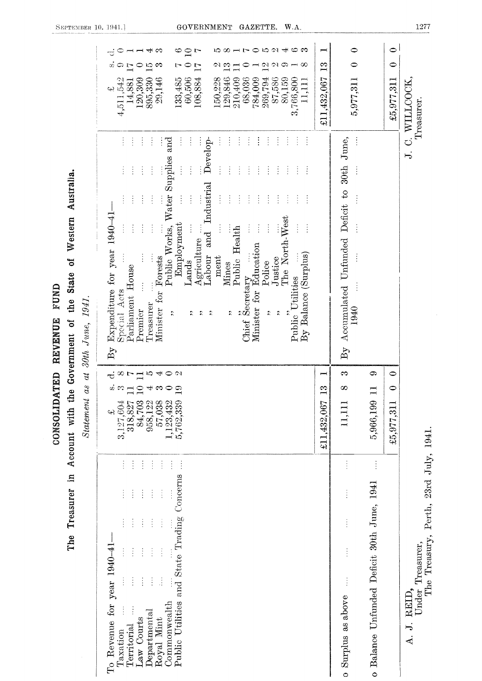|                                                             | 0.0940<br>1ລ ∞<br>$\overline{r}$<br>అ<br>Q<br>بىك<br>ణ<br>$\supseteq$ $\Gamma$<br>$\overline{\phantom{a}}$<br>ರ<br>$\mathfrak{a}$<br>13<br>$\overline{\mathcal{C}}$<br>$\mathfrak{a}$<br>$\infty$<br>S.<br>ら<br>က<br>○<br>೦<br>L<br>$\overline{17}$<br>$\overline{L}$<br>129,846<br>210,409<br>87,586<br>60,506<br>29,146<br>133,485<br>108,884<br>150,228<br>68,036<br>269,794<br>80,159<br>4,511,542<br>120,309<br>895,330<br>784,009<br>3,766,800<br>11,111<br>14,881<br>ڊپ<br>÷<br>ŧ<br>$\ddot{\cdot}$<br>$\ddot{\ddot{\cdot}}$<br>$\vdots$<br>ŧ<br>$\vdots$<br>ŧ<br>ŧ                                                                                                                                                                                                                                                                                                                                                                                                                                                    | ┍╾┥<br>$\mathbf{r}_3$<br>£11,432,067 | $\bullet$<br>5,977,311<br>$\vdots$                                           | $\bullet$<br>$\bullet$<br>£5,977,311                        | J. C. WILLCOCK,<br>Treasurer.                                                             |
|-------------------------------------------------------------|-------------------------------------------------------------------------------------------------------------------------------------------------------------------------------------------------------------------------------------------------------------------------------------------------------------------------------------------------------------------------------------------------------------------------------------------------------------------------------------------------------------------------------------------------------------------------------------------------------------------------------------------------------------------------------------------------------------------------------------------------------------------------------------------------------------------------------------------------------------------------------------------------------------------------------------------------------------------------------------------------------------------------------|--------------------------------------|------------------------------------------------------------------------------|-------------------------------------------------------------|-------------------------------------------------------------------------------------------|
| Australia.<br>Western<br>State of<br>the<br>30th June, 1941 | Develop-<br>$\frac{1}{2}$<br>÷<br>ŧ<br>Water Supplies and<br>$\vdots$<br>$\vdots$<br>$\frac{1}{2}$<br>$\frac{1}{2}$<br>÷<br>÷<br>$\vdots$<br>÷<br>÷,<br>Ì<br>÷<br>$\ddot{\cdot}$<br>÷<br>Industrial<br>$\vdots$<br>$\frac{1}{2}$<br>$\ddot{\cdot}$<br>ŧ<br>÷<br>÷<br>$\frac{1}{2}$<br>Î<br>ŧ<br>ŧ<br>$\ddot{\cdot}$<br>÷<br>Expenditure for year 1940-41<br>The North-West<br>Employment<br>$\frac{1}{2}$<br>$\frac{1}{2}$<br>$\frac{1}{2}$<br>$\frac{1}{2}$<br>Public Works,<br>$\vdots$<br>Public Health<br>$\quad \  \  \, \mathrm{and}$<br>Agriculture<br>Minister for Education<br>By Balance (Surplus)<br>Labour<br>ment<br>Forests<br>Justice<br>Lands<br>Police<br>Mines<br>Parliament House<br>Public Utilities<br>Chief Secretary<br>Special Acts<br>Minister for<br>Treasurer<br>Premier<br>$\ddot{\phantom{0}}$<br>$\ddot{\phantom{0}}$<br>$\ddot{\phantom{0}}$<br>$\ddot{\phantom{0}}$<br>$\ddot{\phantom{0}}$<br>$\ddot{\phantom{0}}$<br>$\ddot{\phantom{0}}$<br>$\ddot{\phantom{0}}$<br>$\mathbf{B}\mathbf{y}$ |                                      | By Accumulated Unfunded Deficit to 30th June,<br>1940                        |                                                             |                                                                                           |
| Account with the Government of<br>$as$ at<br>Statement      | $\Xi$ 10 4<br>$\circ$<br>∞<br>$\overline{r}$<br>÷<br>$\infty$ $\infty$<br>$\circ$<br>4.3<br>$\circ$ $\circ$<br>$\begin{array}{c} 84,703\\ 958,122\\ 57,038\\ 1,123,432\\ 5,762,339 \end{array}$<br>3,127,604<br>318,827<br>43                                                                                                                                                                                                                                                                                                                                                                                                                                                                                                                                                                                                                                                                                                                                                                                                 | ⊣<br>က<br>£11,432,067                | က<br>$\infty$<br>11,111                                                      | ය<br>$\bullet$<br>$\bullet$<br>5,966,199 1<br>£5,977,311    |                                                                                           |
| $\mathbf{m}$<br>The Treasurer                               | $\frac{1}{2}$<br>ł<br>ŧ<br>÷<br>÷<br>$\ddot{\ddot{\cdot}}$<br>$\ddot{\cdot}$<br>Concerns<br>$\frac{1}{2}$<br>$\frac{1}{2}$<br>$\vdots$<br>ţ<br>÷<br>Public Utilities and State Trading<br>$\ddot{\cdot}$<br>$\vdots$<br>ŧ<br>for year $1940-41$<br>$\frac{1}{2}$<br>$\frac{1}{2}$<br>$\vdots$<br>$\vdots$<br>$\frac{1}{2}$<br>$\ddot{\cdot}$<br>Commonwealth<br>$\bf De$ partmental<br>Law Courts<br>Royal Mint<br>To Revenue<br>Territorial<br>Taxation                                                                                                                                                                                                                                                                                                                                                                                                                                                                                                                                                                      |                                      | $\vdots$<br>Ì<br>$\vdots$<br>$\vdots$<br>$\frac{1}{2}$<br>o Surplus as above | $\frac{1}{2}$<br>o Balance Unfunded Deficit 30th June, 1941 | Perth, 23rd July, 1941.<br>The Treasury,<br>Under Treasurer,<br>REID,<br>$\overline{A}$ . |

SEPTEMBER 10. 1941.]

CONSOLIDATED REVENUE FUND

#### GOVERNMENT GAZETTE. W.A.

1277

 $\sim$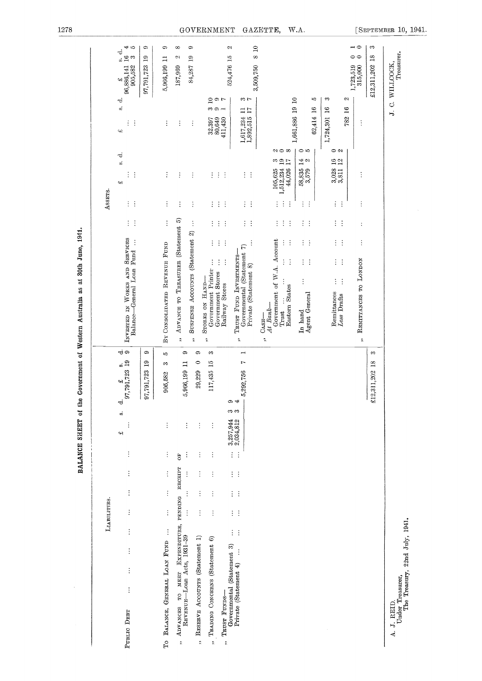| BALANCE SHEET of the                                                                                                                                                                                                                                              | Government of Western Australia as at 30th June, 1941.                                                                                                                |                                                                                     |                                                                                                                    |
|-------------------------------------------------------------------------------------------------------------------------------------------------------------------------------------------------------------------------------------------------------------------|-----------------------------------------------------------------------------------------------------------------------------------------------------------------------|-------------------------------------------------------------------------------------|--------------------------------------------------------------------------------------------------------------------|
| <b>LIABILITIES.</b>                                                                                                                                                                                                                                               |                                                                                                                                                                       | Assers.                                                                             |                                                                                                                    |
| -ಕ ೧<br>$\frac{1}{2}$<br>97,791,723 19<br>ಕ<br>ø<br>$\vdots$<br>c4<br>$\vdots$<br>$\vdots$<br>$\vdots$<br>$\vdots$<br>$\vdots$<br>$\vdots$<br>$\vdots$<br>$\vdots$<br>PUBLIC DEBT                                                                                 | $\ddot{\cdot}$<br>÷<br><b>SERVICES</b><br>$\vdots$<br>Balance-General Loan Fund<br>INVESTED IN WORKS AND                                                              | ÷,<br>si<br>$\vdots$<br>$\ddot{\cdot}$<br>43<br>$\ddot{\cdot}$<br>÷                 | 41 10<br>ಕ<br>$\mathbb{S}^n$<br>ů,<br>96,886,141<br>905,582<br>42<br>r,<br>oj<br>$\vdots$<br>$\ddot{\cdot}$<br>ς.) |
| ô<br>$\overline{19}$<br>97,791,723                                                                                                                                                                                                                                |                                                                                                                                                                       |                                                                                     | G<br>$\mathbf{e}$<br>97,791,723                                                                                    |
| ı0<br>S<br>905,582<br>$\vdots$<br>$\ddot{z}$<br>$\ddot{\ddot{}}$<br>$\vdots$<br>$\ddot{\ddot{\cdot}}$<br>$\vdots$<br>TO BALANCE, GENERAL LOAN FUND                                                                                                                | $\vdots$<br>BY CONSOLIDATED REVENUE FUND                                                                                                                              | ÷<br>$\vdots$                                                                       | G<br>$\Box$<br>5,966,199<br>$\vdots$                                                                               |
| ¢<br>$\Box$<br>5,966,199<br>Ġ<br>PENDING RECEIPT<br>TO MEET EXPENDITURE,<br>REVENUE-Loan Acts, 1931-39<br><b>ADVANCES</b><br>$\ddot{\cdot}$                                                                                                                       | ADVANCE TO TREASURER (Statement 5)<br>$\ddot{\phantom{0}}$                                                                                                            | $\vdots$<br>$\vdots$                                                                | $\infty$<br>C)<br>187,969<br>$\vdots$                                                                              |
| 0<br>$\circ$<br>29,229<br>$\vdots$<br>$\vdots$<br>$\vdots$<br>$\vdots$<br>$\vdots$<br>RESERVE ACCOUNTS (Statement 1)                                                                                                                                              | $\vdots$<br>SUSPENSE ACCOUNTS (Statement 2)<br>$\ddot{\phantom{0}}$                                                                                                   | $\vdots$<br>$\vdots$                                                                | ¢<br>$\overline{19}$<br>84,287<br>$\vdots$                                                                         |
| S<br>15<br>117,435<br>$\vdots$<br>$\vdots$<br>$\vdots$<br>÷<br>$\vdots$<br>$\vdots$<br>$\vdots$<br>$\vdots$<br>$\vdots$<br>$\vdots$<br>TRADING CONCERNS (Statement 6)<br>$\ddot{\phantom{0}}$<br>$\ddot{\cdot}$                                                   | $\ddot{\cdot}$<br>$\vdots$<br>$\vdots$<br>ļ<br>Government Printer<br>Government Stores<br>STORES ON HAND-<br>$\ddot{\phantom{a}}$                                     | $\vdots$<br>$\vdots$<br>$\ddot{\cdot}$                                              | $\frac{1}{2}$ or<br>က တက $-$<br>$\begin{array}{c} 32.397 \\ 80.649 \\ 411,430 \end{array}$                         |
| Governmental (Statement 3)<br>TRUST FUNDS-<br>$\ddot{\phantom{0}}$                                                                                                                                                                                                | $\vdots$<br>÷<br>$\ddot{\cdot}$<br>$\vdots$<br>$\vdots$<br>Railway Stores                                                                                             | ÷<br>$\ddot{\cdot}$<br>÷                                                            | C)<br>524,476 15                                                                                                   |
| $\overline{ }$<br>r<br>5,292,756<br>⇔ ಈ<br>က က<br>$3,257,944$<br>$2,034,812$<br>$\vdots$<br>$\ddot{\cdot}$<br>ŧ,<br>$\ddot{\cdot}$<br>ŧ,<br>$\ddot{\cdot}$<br>$\vdots$<br>$\ddot{\cdot}$<br>$\vdots$<br>$\ddot{\cdot}$<br>$\ddot{\cdot}$<br>Private (Statement 4) | $\vdots$<br>$\vdots$<br>$\widehat{r}$<br>Governmental (Statement<br>TRUST FUND INVESTMENTS<br>Private (Statement 8)<br>$\ddot{\phantom{0}}$                           | $\frac{1}{2}$<br>$\vdots$                                                           | $\mathbf{r}$<br>$\infty$<br>3,509,750<br>$\sim$ $\sim$<br>$\frac{11}{17}$<br>1,617,234<br>1,892,515                |
|                                                                                                                                                                                                                                                                   | ÷<br>ŧ<br>÷<br>Government of W.A. Account<br>$\vdots$<br>÷<br>$\ddot{\cdot}$<br>$\ddot{\cdot}$<br>Eastern States<br>At Bank-<br>Trust<br>CASH<br>$\ddot{\phantom{0}}$ | $\approx$ $\infty$<br>3917<br>$105,625$<br>$1,512,234$<br>$44,026$<br>$\vdots$<br>÷ |                                                                                                                    |
|                                                                                                                                                                                                                                                                   | ÷<br>÷<br>$\vdots$<br>÷<br>$\vdots$<br>÷<br>Agent General<br>In hand                                                                                                  | $\circ$<br>14<br>N<br>$\frac{58,835}{3,579}$<br>$\vdots$<br>÷                       | $\overline{a}$<br>ŗ,<br>1,661,886 19<br>16<br>62,414                                                               |
|                                                                                                                                                                                                                                                                   | ÷<br>$\ddot{\phantom{1}}$<br>$\frac{1}{2}$<br>$\mathcal{C}^{\mathcal{C}}$<br>$\ddot{\cdot}$<br>$\vdots$<br>Remittances<br>Less Drafts                                 | $\circ$<br>$^{16}_{12}$<br>3,028<br>3,811<br>$\vdots$<br>$\frac{1}{2}$              | S<br>16<br>1,724,301                                                                                               |
|                                                                                                                                                                                                                                                                   | $\ddot{\cdot}$<br>$\vdots$<br>REMITTANCES TO LONDON<br>$\ddot{\text{a}}$                                                                                              | $\vdots$<br>$\vdots$                                                                | $\overline{\phantom{0}}$<br>00<br>1,723,519<br>315,000<br>S<br>16<br>782<br>$\ddot{\cdot}$                         |
| S<br>$18\,$<br>2,311,202<br>Ł<br>$\ddot{x}$                                                                                                                                                                                                                       |                                                                                                                                                                       |                                                                                     | S<br>18<br>£12,311,202                                                                                             |
| The Treasury, 22nd July, 1941.<br>Under Treasurer,<br>A. J. REID.                                                                                                                                                                                                 |                                                                                                                                                                       |                                                                                     | Treasurer.<br>J. C. WILLCOCK,                                                                                      |

BALANCE SHEET of the Government of Western Australia as at 30th June, 1941.

 $\sim$ 

1278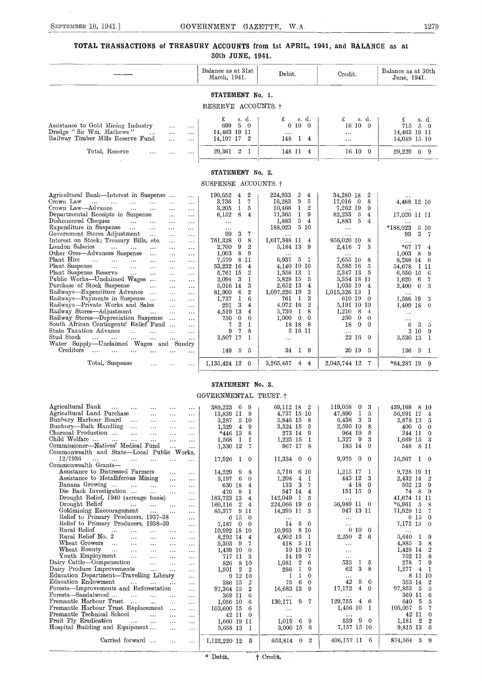#### TOTAL TRANSACTIONS of TREASURY ACCOUNTS from 1st APRIL, 1941, and BALANCE as at 30th JUNE, 1941.

|                                                                                                                                                                                                                                                                                                                                                                                                                                                                                                                                                                                                                                                                                                                                                                                                                                                                                                                                                                                                                                                                                                                                                                                                                                                                                                                                                                                                                                              | Balance as at 31st<br>March, 1941.                                                                                                                                                                                                                                                                                                                                                                                                                                                                                                           | Debit.                                                                                                                                                                                                                                                                                                                                                                                                                   | Credit.                                                                                                                                                                                                                                                                                                                                                                                                         | Balance as at 30th<br>June, 1941.                                                                                                                                                                                                                                                                                                                                   |
|----------------------------------------------------------------------------------------------------------------------------------------------------------------------------------------------------------------------------------------------------------------------------------------------------------------------------------------------------------------------------------------------------------------------------------------------------------------------------------------------------------------------------------------------------------------------------------------------------------------------------------------------------------------------------------------------------------------------------------------------------------------------------------------------------------------------------------------------------------------------------------------------------------------------------------------------------------------------------------------------------------------------------------------------------------------------------------------------------------------------------------------------------------------------------------------------------------------------------------------------------------------------------------------------------------------------------------------------------------------------------------------------------------------------------------------------|----------------------------------------------------------------------------------------------------------------------------------------------------------------------------------------------------------------------------------------------------------------------------------------------------------------------------------------------------------------------------------------------------------------------------------------------------------------------------------------------------------------------------------------------|--------------------------------------------------------------------------------------------------------------------------------------------------------------------------------------------------------------------------------------------------------------------------------------------------------------------------------------------------------------------------------------------------------------------------|-----------------------------------------------------------------------------------------------------------------------------------------------------------------------------------------------------------------------------------------------------------------------------------------------------------------------------------------------------------------------------------------------------------------|---------------------------------------------------------------------------------------------------------------------------------------------------------------------------------------------------------------------------------------------------------------------------------------------------------------------------------------------------------------------|
|                                                                                                                                                                                                                                                                                                                                                                                                                                                                                                                                                                                                                                                                                                                                                                                                                                                                                                                                                                                                                                                                                                                                                                                                                                                                                                                                                                                                                                              | STATEMENT No. 1.                                                                                                                                                                                                                                                                                                                                                                                                                                                                                                                             |                                                                                                                                                                                                                                                                                                                                                                                                                          |                                                                                                                                                                                                                                                                                                                                                                                                                 |                                                                                                                                                                                                                                                                                                                                                                     |
|                                                                                                                                                                                                                                                                                                                                                                                                                                                                                                                                                                                                                                                                                                                                                                                                                                                                                                                                                                                                                                                                                                                                                                                                                                                                                                                                                                                                                                              | RESERVE ACCOUNTS. †                                                                                                                                                                                                                                                                                                                                                                                                                                                                                                                          |                                                                                                                                                                                                                                                                                                                                                                                                                          |                                                                                                                                                                                                                                                                                                                                                                                                                 |                                                                                                                                                                                                                                                                                                                                                                     |
| Assistance to Gold Mining Industry<br>$\cdots$<br>$\cdots$<br>Dredge "Sir Wm. Mathews"<br>$\cdots$<br>$\cdots$<br>Railway Timber Mills Reserve Fund<br>.<br>$\ddotsc$<br>Total, Reserve<br>.<br>$\cdots$                                                                                                                                                                                                                                                                                                                                                                                                                                                                                                                                                                                                                                                                                                                                                                                                                                                                                                                                                                                                                                                                                                                                                                                                                                     | £<br>s. d.<br>699<br>$5\overline{)}$<br>$\overline{\phantom{0}}$<br>14,463 19 11<br>14, 197 17 2<br>29,361 2 1                                                                                                                                                                                                                                                                                                                                                                                                                               | £<br>s. d.<br>$0\quad10$<br>$\overline{\phantom{0}}$<br>148<br>$1 \quad 4$<br>148 II 4                                                                                                                                                                                                                                                                                                                                   | £<br>s. d.<br>16100<br>$\ddotsc$<br>$\cdots$<br>16 10 0                                                                                                                                                                                                                                                                                                                                                         | £<br>s. d.<br>715 5 0<br>14,463 19 11<br>14,049 15 10<br>29,229<br>0 <sub>9</sub>                                                                                                                                                                                                                                                                                   |
|                                                                                                                                                                                                                                                                                                                                                                                                                                                                                                                                                                                                                                                                                                                                                                                                                                                                                                                                                                                                                                                                                                                                                                                                                                                                                                                                                                                                                                              |                                                                                                                                                                                                                                                                                                                                                                                                                                                                                                                                              |                                                                                                                                                                                                                                                                                                                                                                                                                          |                                                                                                                                                                                                                                                                                                                                                                                                                 |                                                                                                                                                                                                                                                                                                                                                                     |
|                                                                                                                                                                                                                                                                                                                                                                                                                                                                                                                                                                                                                                                                                                                                                                                                                                                                                                                                                                                                                                                                                                                                                                                                                                                                                                                                                                                                                                              | STATEMENT No. 2.<br>SUSPENSE ACCOUNTS. †                                                                                                                                                                                                                                                                                                                                                                                                                                                                                                     |                                                                                                                                                                                                                                                                                                                                                                                                                          |                                                                                                                                                                                                                                                                                                                                                                                                                 |                                                                                                                                                                                                                                                                                                                                                                     |
| Agricultural Bank—Interest in Suspense<br>$\cdots$                                                                                                                                                                                                                                                                                                                                                                                                                                                                                                                                                                                                                                                                                                                                                                                                                                                                                                                                                                                                                                                                                                                                                                                                                                                                                                                                                                                           | $\overline{2}$<br>190,652<br>4                                                                                                                                                                                                                                                                                                                                                                                                                                                                                                               | -2<br>224,933<br>$\overline{4}$                                                                                                                                                                                                                                                                                                                                                                                          | 34,280 18<br>$\overline{2}$                                                                                                                                                                                                                                                                                                                                                                                     |                                                                                                                                                                                                                                                                                                                                                                     |
| Crown Law<br>and the contract of<br>$\sim 100$<br>$\ldots$<br>$\cdots$<br>$\cdots$<br>Crown Law—Advance<br>$\ddotsc$<br>$\ddotsc$<br><br>$\cdots$<br>Departmental Receipts in Suspense<br>$\cdots$<br>$\cdots$<br>Dishonoured Cheques<br>$\sim 10^{-10}$ .<br>$\ldots$<br>$\ldots$<br>$\ddotsc$<br>Expenditure in Suspense<br>$\ddotsc$<br>$\cdots$<br>$\cdots$<br>Government Stores Adjustment<br>$\ddotsc$<br>$\cdots$<br>$\cdots$<br>Interest on Stock; Treasury Bills, etc.<br>$\ddotsc$<br>$\ddots$<br>London Salaries<br>$\cdots$<br>$\cdots$<br>$\cdots$<br>$\cdots$<br>$\cdots$<br>Other Ores-Advances Suspense<br>$\ldots$<br>$\ldots$<br>$\cdots$<br>Plant Hire<br>$\mathbf{1}$ and<br>$\mathbf{A}$<br>$\ddotsc$<br>$\ddotsc$<br>$\ddotsc$<br>$\ldots$<br>Plant Suspense<br>$\sim 10^{-1}$<br>$\cdots$<br>$\ddotsc$<br>$\cdots$<br>$\cdots$<br>Plant Suspense Reserve<br>$\ddotsc$<br>$\ldots$<br>$\ldots$<br>$\ddotsc$<br>Public Works-Unclaimed Wages<br>$\ldots$<br>$\ddotsc$<br>Purchase of Stock Suspense<br>$\ddotsc$<br>$\cdots$<br>$\cdots$<br>Railways—Expenditure Advance<br>$\cdots$<br>$\ddot{\phantom{a}}$<br>Railways-Payments in Suspense<br>$\cdots$<br>$\cdots$<br>Railways-Private Works and Sales<br>$\ddotsc$<br>$\cdots$<br>Railway Stores-Adjustment<br>$\ddotsc$<br>$\ldots$<br>Railway Stores-Depreciation Suspense<br>$\sim$ 100 $\mu$<br>$\cdots$<br>South African Contingents' Relief Fund<br>$\ddotsc$ | $\bf{l}$<br>3,736<br>$\overline{7}$<br>$\mathbf{I}$<br>3,205<br>5<br>8<br>6,152<br>$\overline{4}$<br>$\ldots$<br>$\cdots$<br>3<br>-7<br>99<br>8<br>761,328<br>$\overline{0}$<br>$9^{\circ}$<br>$\mathbf{2}$<br>2,700<br>8<br>9<br>1,003<br>8 II<br>7,570<br>53,232 16<br>$\overline{4}$<br>$\overline{2}$<br>5,761 15<br>2.094<br>- 3<br>1<br>3<br>5,016 14<br>$\mathbf{2}$<br>6<br>81,900<br>1<br>6<br>1,737<br>3<br>291<br>$\overline{4}$<br>4,519 13<br>$\overline{4}$<br>$\mathbf{0}$<br>$\mathbf{0}$<br>750<br>$\,2\,$<br>7<br>$\bf{I}$ | 9<br>16,283<br>5<br>2<br>10,468<br>$\mathbf{I}$<br>1<br>9<br>71,365<br>$5\,$<br>1,883<br>$\overline{4}$<br>5 10<br>188,023<br>1,617,348 11<br>-4<br>5,184 13<br>9<br>$-5$<br>6,937<br>- 1<br>4,140 10 10<br>1,558 13<br>-1<br>5,828 15<br>5<br>2,652 13<br>4<br>3<br>1,097,226 19<br>761<br>$\mathbf{I}$<br>3<br>4.072 16<br>$\overline{2}$<br>8<br>5,730<br>$\mathbf{I}$<br>$1,000 \quad 0$<br>$\bf{0}$<br>- 8<br>18 18 | $17,016$ 0<br>8<br>7,262 19<br>9<br>82,233<br>- 5<br>4<br>1,883<br>$\overline{5}$<br>4<br>$\ldots$<br>$\cdots$<br>856,020 10<br>-8<br>2,416 7<br>3<br>7,655 10<br>8<br>5,585 16<br>5<br>2,347 13<br>-5<br>5,354 18 11<br>1,035 19<br>$\overline{4}$<br>1,015,326 13<br>-1<br>610 19<br>$\theta$<br>5,191 10 10<br>1,210<br>8<br>$\overline{4}$<br>250<br>$\theta$<br>$\theta$<br>$\mathbf{0}$<br>18<br>$\bf{0}$ | 4,468 12 10<br>17,020 11 11<br>*188,023<br>$5\,10$<br>3<br>99<br>-7<br>$\ddots$<br>$*67$ 17<br>$\overline{4}$<br>1,003<br>8<br>9<br>8,288 14<br>-6<br>$1\,$ $11$<br>54,678<br>6,550 15<br>-6<br>1,620<br>6<br>$\overline{7}$<br>3,400<br>$\mathbf{0}$<br>3<br>$\cdots$<br>1,586 19<br>3<br>$1,409$ 18<br>$\theta$<br>$\cdots$<br>$\cdots$<br>$\mathbf{3}$<br>6<br>5 |
| State Taxation Advance<br>$\sim$<br>$\dddotsc$<br>$\ddotsc$<br>Stud Stock<br>$\cdots$<br>$\cdots$<br>$\ddotsc$<br>$\sim$<br>$\mathbf{1}$<br>$\cdots$                                                                                                                                                                                                                                                                                                                                                                                                                                                                                                                                                                                                                                                                                                                                                                                                                                                                                                                                                                                                                                                                                                                                                                                                                                                                                         | $\overline{7}$<br>9<br>8<br>3,507 17<br>1                                                                                                                                                                                                                                                                                                                                                                                                                                                                                                    | 5 16 11<br>$\ddotsc$                                                                                                                                                                                                                                                                                                                                                                                                     | $\cdots$<br>22 16<br>$\theta$                                                                                                                                                                                                                                                                                                                                                                                   | 3<br>10<br>-9<br>3,530 13 1                                                                                                                                                                                                                                                                                                                                         |
| Water Supply-Unclaimed Wages and Sundry<br>Creditors<br>$\cdots$<br>$\ddotsc$<br>$\ddots$<br>$\ddotsc$                                                                                                                                                                                                                                                                                                                                                                                                                                                                                                                                                                                                                                                                                                                                                                                                                                                                                                                                                                                                                                                                                                                                                                                                                                                                                                                                       | 149 5 5                                                                                                                                                                                                                                                                                                                                                                                                                                                                                                                                      | 34 I 9                                                                                                                                                                                                                                                                                                                                                                                                                   | 20 19<br>- 5                                                                                                                                                                                                                                                                                                                                                                                                    | 136 3 I                                                                                                                                                                                                                                                                                                                                                             |
| Total, Suspense<br>$\ddotsc$<br>$\cdots$                                                                                                                                                                                                                                                                                                                                                                                                                                                                                                                                                                                                                                                                                                                                                                                                                                                                                                                                                                                                                                                                                                                                                                                                                                                                                                                                                                                                     | 1,135,424 12 0                                                                                                                                                                                                                                                                                                                                                                                                                                                                                                                               | 3,265,457 4 4                                                                                                                                                                                                                                                                                                                                                                                                            | 2,045,744 12 7                                                                                                                                                                                                                                                                                                                                                                                                  | *84,287 19 9                                                                                                                                                                                                                                                                                                                                                        |
| Agricultural Bank                                                                                                                                                                                                                                                                                                                                                                                                                                                                                                                                                                                                                                                                                                                                                                                                                                                                                                                                                                                                                                                                                                                                                                                                                                                                                                                                                                                                                            | STATEMENT No. 3.<br>GOVERNMENTAL TRUST. †<br>389.223<br>- 9                                                                                                                                                                                                                                                                                                                                                                                                                                                                                  | 69,112 18                                                                                                                                                                                                                                                                                                                                                                                                                | 119,058<br>$\theta$<br>3                                                                                                                                                                                                                                                                                                                                                                                        |                                                                                                                                                                                                                                                                                                                                                                     |
| $\ldots$<br>$\ldots$<br>$\cdots$<br>$\cdots$<br>$\ldots$<br>Agricultural Land Purchase<br>$\ddotsc$<br>$\cdots$<br>$\cdots$<br>Bunbury Harbour Board<br>$\ddots$<br>$\ldots$<br>$\ddotsc$<br>$\cdots$                                                                                                                                                                                                                                                                                                                                                                                                                                                                                                                                                                                                                                                                                                                                                                                                                                                                                                                                                                                                                                                                                                                                                                                                                                        | 6<br>13,839 11 9<br>3,287 5 10                                                                                                                                                                                                                                                                                                                                                                                                                                                                                                               | $\mathbf{2}$<br>4,737 15 10<br>5,846 15<br>- 8                                                                                                                                                                                                                                                                                                                                                                           | $\mathbf{I}$<br>47,890<br>-5<br>5,438<br>-3<br>3                                                                                                                                                                                                                                                                                                                                                                | $439,168$ 8 10<br>56,991 17<br>$\overline{4}$<br>2,878 13 5                                                                                                                                                                                                                                                                                                         |

| ддновнопат папо гигопазе<br>$\cdots$<br>$\cdots$<br>$\cdots$                                    | 19,099 11 9                               | 4'191'19'10                           | $+1,000$ 1<br>. U                 | $00,991$ 1 4                        |
|-------------------------------------------------------------------------------------------------|-------------------------------------------|---------------------------------------|-----------------------------------|-------------------------------------|
| Bunbury Harbour Board<br>$\cdots$<br>$\cdots$<br>$\cdots$<br>$\cdots$                           | 5 10<br>3,287                             | 5,846 15 8                            | 5,438 3<br>3                      | 2,878 13<br>$-5$                    |
| Bunbury—Bulk Handling<br>$\ldots$<br>$\ldots$<br><br>$\cdots$                                   | 1.329<br>4<br>9                           | 3,524 15<br>5                         | 2,595 10<br>8                     | 400<br>$\mathbf{0}$<br>$\Omega$     |
| Charcoal Production<br>$\ddotsc$<br>$\cdots$<br>$\cdots$<br>$\cdots$                            | *446 13<br>8                              | 273 14<br>9                           | 964 19<br>$5\overline{5}$         | 244 11 0                            |
| Child Welfare<br>$\cdots$<br>$\cdots$<br>$\cdots$<br>$\cdots$<br>$\cdots$                       | 1,568<br>1<br>-1                          | 1,225 15<br>1                         | -9<br>1,327<br>3                  | $1,669$ 15<br>- 3                   |
| Commissioner-Natives' Medical Fund<br>$\cdots$<br>$\cdots$                                      | 1,330 12<br>7                             | 967 17<br>8                           | 185 14<br>$\Omega$                | 548 8 11                            |
| Commonwealth and State-Local Public Works,                                                      |                                           |                                       |                                   |                                     |
| 12/1936<br>$\cdots$<br>$\cdots$<br>$\cdots$<br>$\sim$ $\sim$ $\sim$<br>$\cdots$<br>$\cdots$     | 17,926<br>$\bf{0}$                        | 11,334<br>$0\quad 0$                  | 9,975<br>$\mathbf{0}$<br>$\Omega$ | 16,567 1 0                          |
| Commonwealth Grants-                                                                            |                                           |                                       |                                   |                                     |
| Assistance to Distressed Farmers<br>$\cdots$<br>$\cdots$                                        | 14,229<br>9<br>8                          | 5,716<br>6 10                         | $1,215$ 17 1                      | 9,728 19 11                         |
| Assistance to Metalliferous Mining<br>$\cdots$<br>$\cdots$                                      | 3,197<br>6<br>$\mathbf{0}$                | 1,208<br>$\overline{4}$               | 443 12                            | 2,432 14 2                          |
| Banana Growing<br>$\sim 10$<br>$\mathbf{1}$ and $\mathbf{1}$<br>$\cdots$<br>$\cdots$            | 630 18<br>4                               | 3<br>133<br>7                         | 4 18<br>$\Omega$                  | 502 12 9                            |
| Die Back Investigation<br><b>Service</b><br>$\cdots$<br>$\cdots$                                | 470<br>8<br>1                             | 547 14<br>4                           | $151\,15\,0$                      | 74 8<br>- 9                         |
| Drought Relief, 1940 (acreage basis)<br>$\cdots$                                                | 183,723 13<br>4                           | 142,049<br>1<br>5                     | $\cdots$                          | 41,674 11 11                        |
| Drought Relief<br>$\cdots$<br>$\sim$ $\sim$<br>$\cdots$<br>$\cdots$                             | 160,116<br>2<br>4                         | 224,066 19<br>$\Omega$                | 56,989 11 0                       | $*6,961$ 5<br>- 8                   |
| Goldmining Encouragement<br>$\ddotsc$<br>$\cdots$                                               | 85,377<br>9 II                            | 14,395 11 3                           | 947 13 11                         | 71,929 12<br>- 7                    |
| Relief to Primary Producers, 1937-38<br>$\cdots$                                                | 6I5<br>$\theta$                           |                                       | $\cdots$                          | $-6$ 15 0                           |
| Relief to Primary Producers, 1938-39<br>$\cdots$                                                | 7,187<br>$\mathbf{0}$<br>$\bf{0}$         | 14<br>-5<br>- 0                       | $\cdots$                          | 7,172 15 0                          |
| Rural Relief<br>$\cdots$<br>$\ddotsc$<br>$\cdots$<br>$\cdots$<br>$\cdots$                       | 10,992 18 10                              | 10,993<br>8 10                        | 0100                              | $\cdots$                            |
| Rural Relief No. 2<br>$\sim 100$<br>$\cdots$<br>$\cdots$<br>$\cdots$                            | 8,292 14<br>$\overline{4}$                | 4,902 15 1                            | 2<br>2,250<br>-6                  | 5,640 1<br>-9                       |
| Wheat Growers<br>$\sim$ 100 $\mu$<br>$\ldots$<br>$\sim 100$<br>$\sim$ $\sim$ $\sim$<br>$\cdots$ | 5,303<br>-9<br>7                          | 5 11<br>418                           | $\cdots$                          | 4,885 3<br>- 8                      |
| Wheat Bounty<br>$\sim 100$<br>$\sim$ $\sim$ $\sim$<br>$\cdots$<br>$\cdots$                      | 1,439 10<br>$\overline{0}$                | 10 15 10                              | $\cdots$                          | 1,428 14 2                          |
| Youth Employment<br>$\sim 100$<br>$\ddotsc$<br>$\cdots$<br>$\cdots$                             | - 3<br>717 11                             | 14 19 7                               | $\cdots$                          | 702 11 8                            |
| Dairy Cattle—Compensation<br>$\sim 10^{-1}$<br>$\cdots$<br>$\cdots$                             | 8 10<br>826                               | $\boldsymbol{2}$<br>1,081<br>6        | 533<br>$1\quad 5$                 | 278<br>$\overline{7}$<br>-9         |
| Dairy Produce Improvements<br>$\sim$ .<br>$\cdots$                                              | 1,501<br>$\overline{2}$<br>$\overline{2}$ | 1<br>9<br>286                         | 3<br>62<br>8                      | 1,277<br>$\overline{4}$             |
| $\cdots$<br>Education Department—Travelling Library<br>$\cdots$                                 | 9 12 10                                   | 1<br>$\Omega$<br>1                    |                                   | 8 11 10                             |
| Education Endowment<br>$\cdots$                                                                 | 386 15<br>$\overline{2}$                  | 75<br>6<br>$\Omega$                   | $\cdots$<br>42<br>5<br>$\theta$   | 353 14<br>$\overline{\phantom{a}2}$ |
| $\cdots$<br>Forests—Improvements and Reforestation<br>$\ddotsc$                                 | 97,364 15<br>2                            | 16,683 13<br>9                        | 17,172<br>$4 \quad 0$             | 97,853 5<br>ា                       |
| Forests—Sandalwood<br>$\cdots$<br>$\cdots$<br>$\cdots$                                          | 369 11<br>6                               |                                       |                                   | 369 11<br>-6                        |
| $\cdots$<br>Fremantle Harbour Trust<br>$\sim 10$                                                | 1,056 10                                  | 130,171<br>9<br>7                     | 129,755<br>$\overline{4}$<br>-6   | 640 5<br>5                          |
| $\cdots$<br>$\cdots$<br>$\cdots$<br>Fremantle Harbour Trust Replacement                         |                                           |                                       | $1,456$ 10<br>$\blacksquare$      | 105,057<br>- 5<br>7                 |
| $\cdots$<br>$\cdots$<br>Fremantle Technical School<br>$\ddotsc$                                 | 103,600 15<br>42 11                       | $\cdots$                              |                                   | 42 11<br>$\theta$                   |
| $\cdots$<br>$\cdots$<br>Fruit Fly Eradication                                                   | 0                                         | $\cdots$<br>1,019<br>6                | 539<br>9<br>$\Omega$              | 1,181 2<br>$\boldsymbol{2}$         |
| <b>Allen Communication</b><br>$\cdots$<br>$\cdots$                                              | 1,660 19 11                               | 9<br>-6                               | 7,157 15 10                       |                                     |
| Hospital Building and Equipment<br>$\cdots$<br>$\cdots$                                         | 5,658 13 1                                | 3,000 15                              |                                   | 9,815 13<br>5                       |
| Carried forward                                                                                 |                                           | $\overline{2}$<br>653,814<br>$\theta$ | 406,157 11 6                      | 874,564 3<br>-9                     |
| $\cdots$<br>$\cdots$                                                                            | 1,122,220 12<br>-5                        |                                       |                                   |                                     |
|                                                                                                 |                                           |                                       |                                   |                                     |

\* Debit.

t Credit.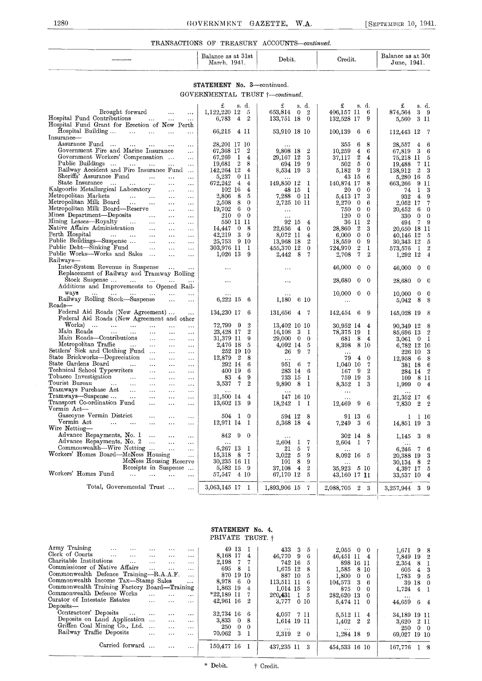#### TRANSACTIONS OF TREASURY ACCOUNTS—continued.

|               | Balance as at 31st<br>1941.<br>March. | Debit. | $\sim$<br>$\sim$<br>Credit. | at 30t<br>Balance as<br>1941.<br>June |
|---------------|---------------------------------------|--------|-----------------------------|---------------------------------------|
| _____<br>---- |                                       |        |                             |                                       |

#### STATEMENT No. 3-continued. GOVERNMENTAL TRUST  $\uparrow$ -continued.

|                                                                                                                               | £<br>s. d.                                                | £<br>s. d.                                   | £<br>s. d.                                                 | £<br>s. d.                                           |
|-------------------------------------------------------------------------------------------------------------------------------|-----------------------------------------------------------|----------------------------------------------|------------------------------------------------------------|------------------------------------------------------|
| Brought forward<br>$\ldots$<br>$\ldots$                                                                                       | 1,122,220 12<br>- 5                                       | 653,814<br>$\overline{2}$<br>$\mathbf{0}$    | - 6<br>406,157 11                                          | 3 <sub>9</sub><br>874,564                            |
| Hospital Fund Contributions<br>$\sim 100$<br>$\ldots$<br>$\ddotsc$                                                            | $\overline{4}$<br>$\mathbf{2}$<br>6,783                   | 133,751 18<br>$\mathbf{0}$                   | 132,528 17<br>-9                                           | 3 II<br>5,560                                        |
| Hospital Fund Grant for Erection of New Perth                                                                                 |                                                           |                                              |                                                            |                                                      |
| Hospital Building<br><b>Section Contract</b><br>$\ddotsc$<br>$\ddots$                                                         | 66,215 4 11                                               | 53,910 18 10                                 | 100,139<br>6<br>6                                          | 112,443 12 7                                         |
| Insurance-<br>Assurance Fund                                                                                                  | 28,201 17 10                                              |                                              | 355<br>6<br>8                                              | 6                                                    |
| $\cdots$<br>$\ddotsc$<br>$\cdots$<br>$\cdots$<br>Government Fire and Marine Insurance                                         | $\mathbf{2}$<br>67,368 17                                 | $\cdots$<br>$\boldsymbol{2}$<br>9.808 18     | 10,259<br>4<br>6                                           | 28,557<br>4<br>3<br>6                                |
| $\ddotsc$<br>Government Workers' Compensation<br>$\ddotsc$                                                                    | 67,269<br>-1<br>$\overline{4}$                            | 29,167 12<br>3                               | $\boldsymbol{2}$<br>37.117<br>4                            | $67,\!819$<br>75,218 11<br>5                         |
| Public Buildings<br><b>Contractor</b><br>$\cdots$                                                                             | $\mathbf{2}$<br>8<br>19,681                               | 694 19<br>9                                  | $\sqrt{5}$<br>$\mathbf{0}$<br>502                          | 19,488<br>7 II                                       |
| Railway Accident and Fire Insurance Fund                                                                                      | 142,264 12<br>4                                           | 3<br>8,534 19                                | 5.182<br>- 9<br>$\boldsymbol{2}$                           | $\boldsymbol{2}$<br>138,912<br>3                     |
| Sheriffs' Assurance Fund<br>$\ddotsc$<br>$\ldots$                                                                             | 0 11<br>5,237                                             |                                              | 43 15<br>6                                                 | 5,280 16<br>5                                        |
| State Insurance<br>$\sim$<br>$\ddotsc$<br>$\ldots$<br>$\cdots$                                                                | 672,242<br>$\overline{4}$<br>$\overline{4}$               | 149,850 12<br>- 1                            | 140,874 17<br>8                                            | 663,266<br>9 11                                      |
| Kalgoorlie Metallurgical Laboratory<br>$\ldots$<br>$\ldots$                                                                   | 102 16<br>4                                               | 48 15<br>- 1                                 | 20<br>$\overline{0}$<br>$\mathbf{0}$                       | 1<br>74<br>3                                         |
| Metropolitan Markets<br>$\sim 100$<br>$\sim 100$<br>$\sim$ $\sim$<br>$\cdots$                                                 | 8<br>5<br>$2.806\,$                                       | 7,288 0 11                                   | 3<br>5,413 17                                              | 932<br>$\overline{4}$<br>9                           |
| Metropolitan Milk Board<br>$\ddotsc$<br>$\ldots$                                                                              | 8<br>2,508<br>$\theta$                                    | 2,725 10 11                                  | 2,270<br>$\bf{0}$<br>6                                     | 2,052 17<br>7                                        |
| Metropolitan Milk Board—Reserve<br>$\ldots$<br>$\cdots$                                                                       | 6<br>19,702<br>$\theta$                                   | $\ddots$                                     | 750<br>$\mathbf{0}$<br>$\mathbf{0}$                        | 20,452<br>6<br>0                                     |
| Mines Department—Deposits<br>$\ldots$<br>$\ldots$<br>$\ddotsc$                                                                | 210<br>$\overline{0}$<br>$\theta$                         |                                              | 120<br>$\mathbf{0}$<br>$\mathbf{0}$                        | 330<br>$\mathbf{0}$<br>$\theta$                      |
| Mining Leases—Royalty<br>$\sim$ 100 $\sim$<br>$\ddotsc$<br>$\cdots$<br>$\ddotsc$<br>Native Affairs Administration             | 550 11 11                                                 | 92 15<br>$\overline{4}$                      | $\boldsymbol{2}$<br>36 11                                  | $\overline{7}$<br>9<br>494                           |
| $\sim 100$<br>$\ldots$<br>$\ldots$<br>Perth Hospital                                                                          | 0 <sub>8</sub><br>14,447                                  | 22,656<br>$\overline{4}$<br>$\mathbf{0}$     | 28,860<br>$\overline{\mathbf{2}}$<br>3                     | 20,650 18 11                                         |
| <b>Contact Contact</b><br>$\ldots$ .<br>$\cdots$<br>$\ldots$<br>$\sim$ $\sim$ $\sim$<br>Public Buildings-Suspense<br>$\ldots$ | 3 <sub>9</sub><br>42,219<br>25,753<br>9 10                | 8,072 11<br>4<br>$\overline{2}$<br>13,968 18 | $\mathbf{0}$<br>6,000<br>$\mathbf{0}$<br>$\mathbf{0}$<br>9 | 40,146 12<br>5<br>5                                  |
| $\mathbf{r}$<br>$\ldots$<br>Public Debt-Sinking Fund<br>$\sim$<br>$\ldots$<br>$\cdots$                                        | 303,976 II I                                              | $\mathbf{0}$<br>455,370 12                   | 18,559<br>$\boldsymbol{2}$<br>724,970<br>1                 | 30,343 12<br>573,576 1<br>$\overline{2}$             |
| Public Works—Works and Sales<br>$\ddotsc$<br>$\sim 10$                                                                        | $1,026$ 13<br>-9                                          | - 8<br>$\overline{7}$<br>2,442               | $\overline{7}$<br>$\overline{2}$<br>2,708                  | 1,292 12<br>$\overline{4}$                           |
| Railways—                                                                                                                     |                                                           |                                              |                                                            |                                                      |
| Inter-System Revenue in Suspense<br>$\sim 100$<br>$\cdots$                                                                    | $\cdots$                                                  | $\ddotsc$                                    | 46,000<br>$\mathbf{0}$<br>$\mathbf{0}$                     | 46,000<br>$\overline{0}$<br>$\overline{\phantom{a}}$ |
| Replacement of Railway and Tramway Rolling                                                                                    |                                                           |                                              |                                                            |                                                      |
| Stock Suspense<br>$\mathbf{r}$                                                                                                | $\cdots$                                                  | $\cdots$                                     | 28,680 0<br>$\overline{0}$                                 | 28,680<br>$0 \quad 0$                                |
| Additions and Improvements to Opened Rail-                                                                                    |                                                           |                                              |                                                            |                                                      |
| ways<br>$\sim$ . $\sim$<br>$\cdots$                                                                                           | $\cdots$                                                  |                                              | $10,000 \t 0 \t 0$                                         | $\Omega$<br>10,000<br>$\mathbf{0}$                   |
| Railway Rolling Stock—Suspense<br>$\ldots$                                                                                    | 6,222 15 6                                                | 1,180<br>6 10                                | $\ldots$                                                   | 8<br>8<br>5,042                                      |
| Roads-                                                                                                                        |                                                           |                                              |                                                            |                                                      |
| Federal Aid Roads (New Agreement)<br>$\ldots$                                                                                 | 134,230 17<br>- 6                                         | 131,656<br>4.7                               | 142,454<br>-6<br>-9                                        | 145,028 19<br>- 8                                    |
| Federal Aid Roads (New Agreement and other<br>Works)                                                                          |                                                           |                                              |                                                            |                                                      |
| and the contract of the con-<br>$\cdots$<br>$\ddotsc$<br>Main Roads<br>$\mathbf{1}$<br>$\cdots$<br>$\ddotsc$                  | 72,799 9<br>$\overline{2}$<br>23.428 17<br>$\overline{2}$ | 13,402 10 10<br>16,108<br>3<br>- 1           | 30,952 14<br>$\overline{4}$<br>78,375 19<br>1              | 90,349 12<br>8<br>85,696 13<br>$\overline{2}$        |
| $\cdots$<br>Main Roads-Contributions<br>$\cdots$<br>$\ldots$<br>$\ddotsc$                                                     | 31,379 11<br>9                                            | $29,000 \quad 0$<br>$\bf{0}$                 | 681<br>8<br>$\overline{4}$                                 | - 1<br>$3,061$ 0                                     |
| Metropolitan Traffic<br>$\sim 100$<br>$\cdots$<br>$\ldots$<br>$\ddotsc$                                                       | 2,476 18<br>5                                             | 4,092 14<br>5                                | 8,398 8 10                                                 | 6,782 12 10                                          |
| Settlers' Sick and Clothing Fund<br>$\ddotsc$<br>$\ddotsc$                                                                    | 252 19 10                                                 | 26<br>-9<br>$\overline{7}$                   |                                                            | 226 10<br>3                                          |
| State Brickworks—Depreciation<br>$\sim$<br>$\ldots$<br>$\ddotsc$                                                              | 12,879<br>$\mathbf{2}$<br>8                               | $\ddotsc$                                    | 79<br>$\overline{4}$<br>$\mathbf{0}$                       | 12,958<br>8<br>6                                     |
| State Gardens Board<br>$\ldots$ .<br>$\ldots$<br>$\cdots$<br>$\ldots$                                                         | 292 14<br>6                                               | 951 6<br>-7                                  | 1,040 10<br>7                                              | 381 18<br>6                                          |
| Technical School Typewriters<br>$\ldots$<br>$\ldots$<br>$\ldots$                                                              | 400 19<br>6                                               | 283 14<br>-6                                 | 9<br>167<br>$\boldsymbol{2}$                               | $\overline{2}$<br>284 14                             |
| Tobacco Investigation<br>$\cdots$<br>$\ddotsc$<br>$\cdots$<br>$\ddotsc$                                                       | 83<br>$\overline{4}$<br>9                                 | 733 15<br>-1                                 | 759 19<br>3                                                | 109<br>8 II                                          |
| Tourist Bureau<br>$\cdots$<br><b>Contract</b><br>$\cdots$<br>$\cdots$<br>$\ldots$                                             | $\mathbf 7$<br>$\mathbf{2}$<br>3,537                      | 9,890<br>-8<br>- 1                           | 8,352<br>$\mathbf{I}$<br>-3                                | 1,999<br>$0\quad 4$                                  |
| Tramways Purchase Act<br>$\sim$ $\sim$<br>$\cdots$<br>$\ldots$<br>$\cdots$                                                    |                                                           |                                              | $\cdots$                                                   |                                                      |
| Tramways—Suspense<br>$\mathbf{r}$ and<br>$\cdots$<br>$\ldots$<br>$\ldots$                                                     | 21,500 14<br>$\overline{4}$                               | 147 16 10                                    | $\ddotsc$                                                  | 21,352 17<br>6                                       |
| Transport Co-ordination Fund<br>$\cdots$<br>$\cdots$<br>$\cdots$<br>Vermin Act-                                               | 13,602 13<br>9                                            | 18,242<br>$\mathbf{I}$<br>- 1                | 9<br>12,469<br>-6                                          | 7,830<br>$\overline{\phantom{a}2}$<br>$\overline{2}$ |
| Gascoyne Vermin District<br>$\ddotsc$                                                                                         |                                                           | 8                                            |                                                            |                                                      |
| $\cdots$<br>$\cdots$<br>Vermin Act<br>and the contract of the con-<br>$\sim$<br>$\cdots$<br>$\ddotsc$                         | 504 I 0<br>12,971 14<br>- 1                               | 594 12<br>5,368 18<br>$\overline{4}$         | 91 13<br>-6<br>7,249<br>3<br>-6                            | $1 \quad 1 \quad 10$                                 |
| Wire Netting-                                                                                                                 |                                                           |                                              |                                                            | 14,851 19 3                                          |
| Advance Repayments, No. 1<br>$\sim$<br>$\cdots$<br>$\cdots$                                                                   | 842<br>9<br>$\overline{0}$                                |                                              | 302 14<br>8                                                | 3<br>1,145<br>-8                                     |
| Advance Repayments, No. 2<br>$\ddots$<br>$\cdots$                                                                             | $\cdots$                                                  | 2,604<br>$\mathbf{I}$<br>-7                  | 2,604 1 7                                                  |                                                      |
| Commonwealth—Wire Netting<br>$\ddotsc$<br>$\ddots$                                                                            | 6,267 13<br>- 1                                           | 21<br>5<br>7                                 |                                                            | 6,246<br>7<br>6                                      |
| Workers' Homes Board—McNess Housing<br>$\ddotsc$                                                                              | 15,318<br>- 8<br>- 7                                      | 3.022<br>-5<br>9                             | 8,092 16 5                                                 | 20,388 19<br>3                                       |
| McNess Housing Reserve                                                                                                        | 30,235 16 11                                              | 8<br>9<br>101                                |                                                            | $\overline{2}$<br>30,134<br>- 8                      |
| Receipts in Suspense                                                                                                          | 5,582 15<br>- 9                                           | $\overline{2}$<br>$\overline{4}$<br>37,108   | 35,923 5 10                                                | 5<br>4,397 17                                        |
| Workers' Homes Fund<br>$\sim 10^{-1}$<br>$\ddotsc$<br>$\ddotsc$                                                               | 57,547<br>4 10                                            | 67,170 12<br>5                               | 43,160 17 <b>1</b> 1                                       | 33,537 10<br>$\boldsymbol{4}$                        |
|                                                                                                                               |                                                           |                                              |                                                            |                                                      |
| Total, Governmental Trust<br>$\sim$ $\sim$                                                                                    | 3,063,145 17 1                                            | 1,893,906 15<br>$\overline{7}$               | 2,088,705<br>$2^{\circ}$<br>-3                             | 3<br>$\Omega$<br>3,257,944                           |

#### STATEMENT No. 4. PRIVATE TRUST.  $\dagger$

| Army Training<br>$\cdots$<br>$\cdots$              | $\cdots$<br>$\cdots$  | $\cdots$ | 49 13        |              |          | 433<br>-3<br>5                            | 2.055         | $0\quad 0$           | 1,671 9 8     |                |   |  |
|----------------------------------------------------|-----------------------|----------|--------------|--------------|----------|-------------------------------------------|---------------|----------------------|---------------|----------------|---|--|
| Clerk of Courts<br>$\cdots$<br>$\cdots$            | $\cdots$<br>$\cdots$  | $\cdots$ | 8.168 17     |              | 4        | 46,770 9<br>-6                            | 46,451 11 4   |                      | 7,849 19 2    |                |   |  |
| Charitable Institutions<br>$\cdots$                | $\cdots$<br>$\cdots$  | $\cdots$ | 2,198        | -7           |          | 742 16<br>5                               |               | 898 16 11            | 2.354         | -8             |   |  |
| Commissioner of Native Affairs                     | $\cdots$<br>$\cdots$  | $\cdots$ | 695          | -8           |          | 1.675 12<br>8                             | 1.585         | 8 10                 | 605           | $\overline{4}$ | 3 |  |
| Commonwealth Defence Training-R.A.A.F.             |                       |          |              |              |          |                                           |               |                      |               |                |   |  |
|                                                    |                       | $\cdots$ | 870 19 10    |              |          | 887 10<br>5                               | 1,800         | $\sim 0$<br>$\Omega$ | 1.783         | 9 <sup>1</sup> |   |  |
| Commonwealth Income Tax-Stamp Sales                |                       | $\cdots$ | 8,978        | - 6          | $\Omega$ | 113.511 11<br>6                           | 104,573       | $3\quad 6$           |               | 39 18 0        |   |  |
| Commonwealth Training Factory Board-Training       |                       |          | 1,863 19     |              | 4        | $1.014$ 15<br>3                           | 875           | $\Omega$<br>$\Omega$ | 1.724         | $\overline{4}$ |   |  |
| Commonwealth Defeuce Works                         | $\cdots$<br>$\cdots$  | $\cdots$ | $*22,189$ 11 |              |          | 260.431<br>$1\quad 5$                     | 282,620 13    | $\Omega$             | $\cdots$      |                |   |  |
| Curator of Intestate Estates                       | $\ddotsc$<br>$\cdots$ | $\cdots$ | 42,961 16    |              | 2        | 3.777<br>0 <sub>10</sub>                  | 5.474 11      | $\Omega$             | 44.659        | 64             |   |  |
| Deposits-                                          |                       |          |              |              |          |                                           |               |                      |               |                |   |  |
| Contractors' Deposits<br>$\sim 100$ and $\sim 100$ | $\cdots$<br>$\cdots$  | $\cdots$ | 32,734 16    |              | -6       | 4.057 7 11                                | 5.512 11      |                      |               |                |   |  |
| Deposits on Land Application                       |                       |          |              |              |          |                                           |               | 4                    | 34,189 19 11  |                |   |  |
|                                                    | $\cdots$              | $\cdots$ | 3,833        | $\mathbf{0}$ | 8        | 1,614 19 11                               | 1,402         | $\overline{2}$<br>2  | 3.620         | -2 11          |   |  |
| Griffen Coal Mining Co., Ltd.                      | $\cdots$              | $\cdots$ | 250          | $\Omega$     | ി        | $\cdots$                                  | $\cdots$      |                      | 250           | $0\quad 0$     |   |  |
| Railway Traffic Deposits                           | $\cdots$<br>$\cdots$  | $\cdots$ | 70,062       | -3           |          | 2.319<br>$\overline{2}$<br>$\overline{0}$ |               | $1,284.18$ 9         | 69.027 19 10  |                |   |  |
| Carried forward                                    |                       |          | 150,477 16   |              |          | 437,235 11<br>3                           | 454,533 16 10 |                      | $167,776$ 1 8 |                |   |  |
|                                                    |                       |          |              |              |          |                                           |               |                      |               |                |   |  |

\* Debit.  $\qquad$  † Credit.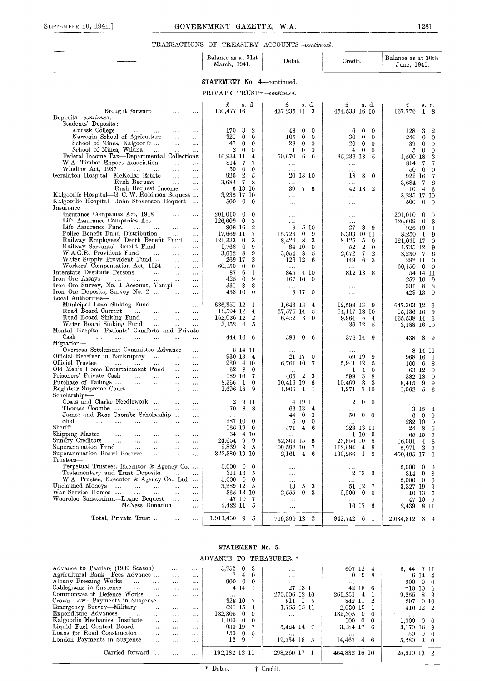#### TRANSACTIONS OF TREASURY ACCOUNTS-continued.

|                                                                                                                                                    | Balance as at 31st<br>March, 1941.                         | Debit.                                            | Credit.                                                                              | Balance as at 30th<br>June, 1941.            |
|----------------------------------------------------------------------------------------------------------------------------------------------------|------------------------------------------------------------|---------------------------------------------------|--------------------------------------------------------------------------------------|----------------------------------------------|
|                                                                                                                                                    | STATEMENT No. 4-continued.                                 |                                                   |                                                                                      |                                              |
|                                                                                                                                                    | PRIVATE TRUST+-continued.                                  |                                                   |                                                                                      |                                              |
| Brought forward<br>$\sim$ $\sim$ $\sim$<br>$\cdots$                                                                                                | £<br>s. d.<br>150,477 16 1                                 | £<br>s. d.<br>437,235 II 3                        | £<br>s. d.<br>454,533 16 10                                                          | £<br>s. d.<br>167,776<br>I 8                 |
| Deposits-continued.                                                                                                                                |                                                            |                                                   |                                                                                      |                                              |
| Students' Deposits:<br>Muresk College<br>$\mathbf{A} \bullet \mathbf{A}$ and $\mathbf{A} \bullet \mathbf{A}$<br>$\ldots$<br>$\cdots$               | 3<br>$\overline{2}$<br>170                                 | $\bf{0}$<br>$\theta$<br>48                        | 0<br>6.<br>$\bf{0}$                                                                  | 3<br>128<br>$\overline{2}$                   |
| $\sim$ and $\sim$<br>Narrogin School of Agriculture<br>$\ddotsc$<br>$\cdots$                                                                       | 321<br>$\mathbf{0}$<br>$\mathbf{0}$                        | $\bf{0}$<br>105<br>$\theta$                       | 30<br>0<br>$\bf{0}$                                                                  | $\mathbf{0}$<br>$\mathbf{0}$<br>246          |
| School of Mines, Kalgoorlie<br>$\ddotsc$<br>$\ldots$                                                                                               | $\mathbf{0}$<br>$\mathbf{0}$<br>47                         | $\mathbf{0}$<br>28<br>$\overline{0}$              | 20<br>$\bf{0}$<br>$\mathbf{0}$                                                       | 39<br>$\mathbf{0}$<br>0                      |
| School of Mines, Wiluna<br>$\cdots$<br>$\sim$ .<br>$\cdots$                                                                                        | $\overline{0}$<br>$\overline{2}$<br>$\mathbf{0}$           | $\overline{0}$<br>1<br>$\mathbf{0}$               | $\bf{0}$<br>$\mathbf{0}$<br>$\overline{4}$                                           | 5.<br>$\overline{0}$<br>0                    |
| Federal Income Tax-Departmental Collections<br>W.A. Timber Export Association<br>$\ldots$<br>$\ldots$                                              | 16,934 11<br>$\overline{4}$<br>$\overline{7}$<br>-7<br>814 | 6<br>-6<br>50,670                                 | 35,236 13<br>- 5                                                                     | 1,500 18<br>3<br>814 7<br>7                  |
| Whaling Act, 1937<br><b>ALCOHOL: NAME</b><br>$\ldots$<br>$\cdots$                                                                                  | 50<br>$\theta$<br>$\mathbf{0}$                             | $\ddotsc$<br>$\cdots$                             | <br>.                                                                                | 50<br>$\overline{0}$<br>$\theta$             |
| Geraldton Hospital-McKellar Estate<br>$\ldots$<br>$\cdots$                                                                                         | $\boldsymbol{2}$<br>925<br>5                               | 20 13 10                                          | 8<br>18<br>$\overline{0}$                                                            | 922 16<br>-7                                 |
| Rush Bequest<br>$\ldots$<br>$\cdots$<br>Rush Bequest Income                                                                                        | $\mathbf{7}$<br>3,684<br>-8<br>6 13 10                     | $\ddotsc$<br>39<br>7 6                            | $\ddotsc$<br>42 18<br>$\overline{2}$                                                 | 3,684 7<br>8                                 |
| $\ddotsc$<br>Kalgoorlie Hospital-G. C. W. Robinson Bequest                                                                                         | 3,235 17 10                                                | $\cdots$                                          | $\ldots$                                                                             | $10 \t 4 \t 6$<br>3,235 17 10                |
| Kalgoorlie Hospital-John Stevenson Bequest<br>Insurance-                                                                                           | $500 \t 0$<br>$\overline{0}$                               | $\ddotsc$                                         | $\cdots$                                                                             | 500<br>$\overline{0}$<br>$\bf{0}$            |
| Insurance Companies Act, 1918<br>$\cdots$<br>$\cdots$                                                                                              | 201,010 0<br>$\theta$                                      | $\cdots$                                          | $\cdots$                                                                             | 201,010 0<br>0                               |
| Life Assurance Companies Act<br>$\cdots$<br>$\cdots$<br>Life Assurance Fund<br>$\cdots$ $\cdots$<br>$\cdots$<br>$\cdots$                           | $\overline{0}$<br>126,609<br>3<br>$\overline{2}$<br>908 16 | $\ddotsc$<br>9<br>5 10                            | <br>27<br>8<br>-9                                                                    | $126,609$ 0<br>-3<br>926 19<br>-1            |
| Police Benefit Fund Distribution<br>$\ldots$<br>$\cdots$                                                                                           | 17,669 11<br>7                                             | 15,723<br>$\theta$<br>- 9                         | 6,303 10 11                                                                          | 8,250 1<br>-9                                |
| Railway Employees' Death Benefit Fund<br>$\ddotsc$                                                                                                 | 3<br>121,333<br>$\overline{0}$                             | - 8<br>3<br>8,426                                 | 8,125<br>5<br>$\mathbf{0}$                                                           | 121,031 17<br>$\mathbf{0}$                   |
| Railway Servants' Benefit Fund<br>$\cdots$<br>$\ddotsc$<br>W.A.G.R. Provident Fund<br>$\ldots$<br>$\ldots$                                         | 1.768<br>$\bf{0}$<br>9<br>8<br>9<br>3,612                  | 84 IO<br>$\theta$<br>3,054 8<br>5                 | 52<br>$\overline{2}$<br>$\overline{0}$<br>$7\phantom{.0}$<br>2,672<br>$\overline{2}$ | 1,735 12<br>-9<br>3,230 7<br>-6              |
| Water Supply Provident Fund<br>$\cdots$<br>$\ldots$                                                                                                | 269 17<br>3                                                | 126 12<br>6                                       | 6<br>149<br>3                                                                        | 292 11<br>$\theta$                           |
| Workers' Compensation Act, 1924<br>$\ldots$<br>$\ddotsc$                                                                                           | 60,150<br>$\bf{0}$<br>0                                    | $\cdots$                                          | $\cdots$                                                                             | 60,150 0 0                                   |
| Interstate Destitute Persons<br>$\sim$ 100 $\pm$<br>$\ldots$<br>$\ldots$<br>Iron Ore Assays<br>and the state<br>$\sim 100$<br>$\cdots$<br>$\cdots$ | 6<br>-1<br>87<br>$\theta$<br>425<br>-9                     | 4 10<br>845<br>167 10 0                           | 812 13 8                                                                             | 54 14 11<br>257 10<br>-9                     |
| Iron Ore Survey, No. 1 Account, Yampi<br>                                                                                                          | 331<br>8<br>8                                              | $\ddotsc$                                         | $\cdots$<br>$\ddotsc$                                                                | 331 8<br>-8                                  |
| Iron Ore Deposits, Survey No. 2<br>$\ldots$                                                                                                        | 438 10<br>$\theta$                                         | 8 17 0                                            | $\cdots$                                                                             | 429 13<br>$\bf{0}$                           |
| Local Authorities-<br>Municipal Loan Sinking Fund<br>$\ldots$                                                                                      | 636,351 12<br>- 1                                          | 1,646 13<br>$\overline{4}$                        | 12,598 13 9                                                                          | 647,303 12<br>6                              |
| $\cdots$<br>Road Board Current<br>$\dddotsc$<br>$\sim$ 4.4 $\sim$<br>$\ldots$<br>$\ldots$                                                          | 18,594 12<br>$\overline{4}$                                | 27,575 14<br>- 5                                  | 24,117 18 10                                                                         | 15,136 16<br>-9                              |
| Road Board Sinking Fund<br>$\sim$<br>$\ddotsc$<br>$\ldots$                                                                                         | 162,026 12<br>$\overline{2}$                               | 6,452<br>3 <sup>5</sup><br>- 0                    | 9,964 5<br>$\overline{4}$                                                            | 165,538 14 6                                 |
| Water Board Sinking Fund<br>$\sim 100$<br>$\mathbf{1}$ and $\mathbf{1}$<br>$\cdots$<br>Mental Hospital Patients' Comforts and Private              | 3,152 4<br>5                                               | $\ddotsc$                                         | 36 12 5                                                                              | 3,188 16 10                                  |
| Cash<br>$\ldots$ .<br>$\ddotsc$<br>$\cdots$<br>$\cdots$<br>$\cdots$<br>$\cdots$                                                                    | 444 14 6                                                   | 383<br>$\mathbf{0}$<br>- 6                        | 376 14 9                                                                             | 438<br>- 8<br>- 9                            |
| Migration-                                                                                                                                         |                                                            |                                                   |                                                                                      |                                              |
| Overseas Settlement Committee Advance<br>$\ddotsc$<br>$\sim 100$                                                                                   | 8 14 11<br>930 13 4                                        |                                                   |                                                                                      | 8 14 11                                      |
| Official Receiver in Bankruptcy<br>$\cdots$<br>$\cdots$<br>Official Trustee<br>$\cdots$ .<br>$\cdots$<br>$\sim 100$<br>$\ldots$<br>$\ldots$        | 920 4 10                                                   | 21 17 0<br>6,761 10 7                             | 59 19<br>-9<br>5,941 12<br>- 5                                                       | 968 16<br>$\mathbf{I}$<br>$100\quad 6$<br>-8 |
| Old Men's Home Entertainment Fund<br>$\ddotsc$<br>$\ldots$                                                                                         | 8 <sup>8</sup><br>62<br>$\overline{\phantom{0}}$           |                                                   | $\overline{4}$<br>$\mathbf{0}$<br>1                                                  | 63 12<br>$\bf{0}$                            |
| Prisoners' Private Cash<br>$\mathbf{r}$ .<br>$\Delta\Delta\Delta\gamma$<br>$\cdots$<br>$\cdots$                                                    | 189 16 7                                                   | $\overline{2}$<br>3<br>406                        | 599<br>3<br>8                                                                        | 382 18<br>$\Omega$                           |
| Purchase of Tailings<br>$\sim 100$<br>$\ldots$<br>$\ldots$<br>$\cdots$<br>Registrar Supreme Court<br>$\ldots$<br>$\ldots$<br>$\cdots$              | 8,366<br>$1 \quad 0$<br>$1,696$ 18<br>- 9                  | $10,419$ 19 6<br>1,906<br>$\mathbf{I}$<br>- 1     | 8<br>10,469<br>-3<br>1,271 7 10                                                      | 8,415 9<br>9<br>$\overline{5}$<br>1,062<br>6 |
| Scholarships-                                                                                                                                      |                                                            |                                                   |                                                                                      |                                              |
| Coats and Clarke Needlework<br>$\cdots$<br>                                                                                                        | $\mathbf 2$<br>9 II                                        | 4 19 11                                           | 2 10 0                                                                               | .                                            |
| Thomas Coombe<br>$\ldots$<br>$\cdots$<br>James and Rose Coombe Scholarship<br>$\cdots$                                                             | 88<br>70.<br>$\cdots$                                      | 66 I3<br>$\overline{4}$<br>44 0<br>$\overline{0}$ | $\cdots$<br>50<br>$\bf{0}$<br>$\theta$                                               | 3 15 4<br>$\mathbf{0}$<br>$\mathbf 0$<br>6.  |
| Shell<br>$\ddotsc$<br>$\cdots$<br>$\ddotsc$<br>$\cdots$                                                                                            | 287 10 0                                                   | $\mathbf{0}$<br>$\overline{0}$<br>5               | $\cdots$                                                                             | 282 10<br>$\bf{0}$                           |
| Sheriff<br>.<br>.<br>$\ddotsc$<br>$\cdots$<br>$\cdots$<br>$\cdots$                                                                                 | 166 19<br>$\mathbf{0}$                                     | $\overline{4}$<br>471<br>6                        | 328 13 11                                                                            | 24 8<br>5                                    |
| Shipping Master<br><br>$\cdots$<br>$\cdots$<br>$\cdots$<br>$\cdots$<br>Sundry Creditors<br>$\ddotsc$<br>$\cdots$<br>$\ddotsc$<br><br>$\cdots$      | 64 4 10<br>99<br>24,654                                    | $\ddotsc$<br>32,309 15<br>-6                      | 1 10<br>-9<br>23,656 10<br>- 5                                                       | 65 15<br>-7<br>16,001 4<br>8                 |
| Superannuation Fund<br>$\ddotsc$<br>$\cdots$<br>$\ddotsc$                                                                                          | 2,869 9 5                                                  | $109,592$ 10<br>-7                                | 112,694 4<br>-9                                                                      | 5,971 3<br>-7                                |
| Superannuation Board Reserve<br>$\cdots$<br>$\ddotsc$<br><br>Trustees-                                                                             | 322,380 19 10                                              | 2,161 4 6                                         | 130,266 1<br>-9                                                                      | 450,485 17<br>-1                             |
| Perpetual Trustees, Executor & Agency Co<br>Testamentary and Trust Deposits                                                                        | $5,000 \quad 0$<br>$\mathbf{0}$                            | $\ddotsc$                                         |                                                                                      | $5,000 \quad 0$<br>$\mathbf{0}$              |
| $\cdots$<br>$\ddotsc$<br>W.A. Trustee, Executor & Agency Co., Ltd.                                                                                 | 311 16<br>- 5<br>$5,000 \quad 0$<br>$\mathbf{0}$           | $\cdots$<br>$\cdots$                              | 2 13<br>-3<br>$\cdots$                                                               | 8<br>314 9<br>5,000 0<br>$\theta$            |
| Unclaimed Moneys<br>$\sim 100$<br>$\mathbf{1},\mathbf{2},\ldots,\mathbf{2},\mathbf{2},\mathbf{2}$<br>$\ddotsc$<br>$\cdots$                         | 3,289 12 5                                                 | 13<br>3<br>5                                      | 51 12 7                                                                              | 3,327 19<br>9                                |
| War Service Homes<br>$\Delta\Delta\sim 10^{-11}$<br>$\sim$ .<br>$\cdots$<br>$\ddotsc$                                                              | 365 13 10                                                  | $\mathbf{0}$<br>-3<br>2,555                       | $2,200 \quad 0$<br>$\overline{\phantom{0}}$                                          | 10 <sub>13</sub><br>-7                       |
| Wooroloo Sanatorium—Logue Bequest<br>$\ldots$<br>$\cdots$<br>McNess Donation<br>$\cdots$                                                           | 47 10 7<br>2,422 11 5                                      | $\cdots$                                          | .<br>16 17 6                                                                         | 47 10 7<br>2,439 8 11                        |
|                                                                                                                                                    |                                                            | $\ldots$                                          |                                                                                      |                                              |
| Total, Private Trust<br>$\cdots$<br>$\cdots$                                                                                                       | 1,911,460 9 5                                              | 719,390 12 2                                      | 842,742 6 1                                                                          | 2,034,812 3 4                                |

#### STATEMENT No. 5.

#### ADVANCE TO TREASURER. \*

| Advance to Pearlers (1939 Season)      |          | $\cdots$ | $\cdots$ | 5,752           | $\bf{0}$       |                | $\cdots$      | 607 12             | 4   | 5.144 7 11              |
|----------------------------------------|----------|----------|----------|-----------------|----------------|----------------|---------------|--------------------|-----|-------------------------|
| Agricultural Bank-Fees Advance         |          | $\cdots$ | $\cdots$ |                 | 7 4 0          |                | $\cdots$      | -9<br>$\mathbf{0}$ | 8   | 6 14 4                  |
| Albany Freezing Works<br>$\sim$ $\sim$ | $\cdots$ | $\cdots$ | $\cdots$ | 900             | $\mathbf{0}$   | $\theta$       | $\cdots$      | $\cdots$           |     | 900<br>$0\quad 0$       |
| Cablegrams in Suspense                 | $\cdots$ | $\cdots$ | $\cdots$ |                 | $4 \; 14$      |                | 27 13 11      | 42 18              | -6  | $+10$ 10 6              |
| Commonwealth Defence Works             | $\cdots$ | $\cdots$ | $\cdots$ | $\cdots$        |                |                | 270,506 12 10 | 261, 251 4         |     | 9.255 8 9               |
| Crown Law—Payments in Suspense         |          | $\cdots$ | $\cdots$ | 328 10          |                | -7             | 811 1 5       | 842 II             | -2  | 297 0 10                |
| Emergency Survey—Military              | $\cdots$ | $\cdots$ | $\cdots$ | 691 15          |                | $\overline{4}$ | 1,755 15 11   | 2,030 19           |     | 416 12 2                |
| Expenditure Advances                   | $\cdots$ | $\cdots$ | $\cdots$ | $182,305$ 0 0   |                |                | $\cdots$      | $182,305$ 0        | - 0 | $\cdots$                |
| Kalgoorlie Mechanics' Institute        | $\cdots$ | $\cdots$ | $\cdots$ | $1,100 \quad 0$ |                | $\Omega$       | $\cdots$      | 100<br>-0          | - 0 | $1.000 \quad 0 \quad 0$ |
| Liquid Fuel Control Board              | $\cdots$ | $\cdots$ | $\cdots$ | 930 19          |                | -7             | 5.424 14 7    | 3,184 17           | 6   | 3.170 16 8              |
| Loans for Road Construction            | $\cdots$ | $\cdots$ | $\cdots$ | 150.            | $\overline{0}$ | - 0            | $\cdots$      | $\cdots$           |     | $150 \t 0 \t 0$         |
| London Payments in Suspense            | $\cdots$ | $\cdots$ | $\cdots$ | 12              | -9             |                | 19,734 18 5   | 14,467<br>4        | -6  | 5,280<br>$3 \quad 0$    |
| Carried forward                        |          |          | $\cdots$ | 192.182 12 11   |                |                | 298,260 17    | 464,832 16 10      |     | 25,610 13 2             |

\* Debit. † Credit.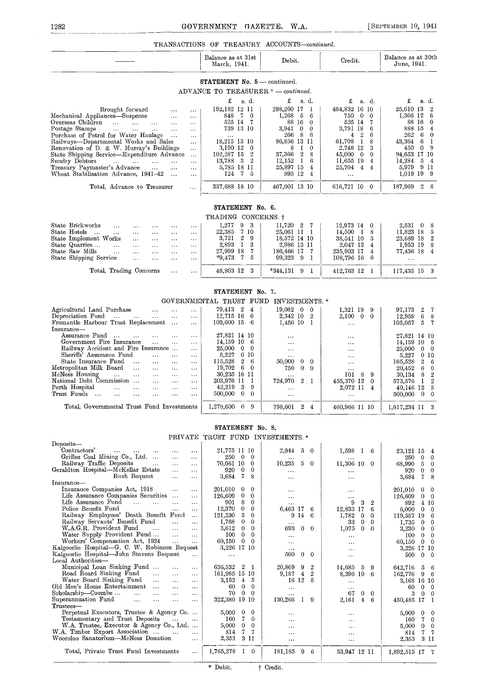#### 1282 GOVERNMENT GAZETTE, W.A. [SEPTEMBER 10, 1941

#### TRANSACTIONS OF TREASURY ACCOUNTS-continued

|                                                                                                                                                                                                                                                                                                                                                                                                                                                                                                                                                                                                                                                                                                                                                                                                                                                                                                                                                                                                                                        |                                                                                                                                                                                                                                                                                                 | TRANSAUIIUNS OF TREASURY AUUUUNTS-COMMMEG.                                                                                                                                                                                                                           |                                                                                                                                                                                                                                                       |                                                                                                                                                                                                                                                                              |
|----------------------------------------------------------------------------------------------------------------------------------------------------------------------------------------------------------------------------------------------------------------------------------------------------------------------------------------------------------------------------------------------------------------------------------------------------------------------------------------------------------------------------------------------------------------------------------------------------------------------------------------------------------------------------------------------------------------------------------------------------------------------------------------------------------------------------------------------------------------------------------------------------------------------------------------------------------------------------------------------------------------------------------------|-------------------------------------------------------------------------------------------------------------------------------------------------------------------------------------------------------------------------------------------------------------------------------------------------|----------------------------------------------------------------------------------------------------------------------------------------------------------------------------------------------------------------------------------------------------------------------|-------------------------------------------------------------------------------------------------------------------------------------------------------------------------------------------------------------------------------------------------------|------------------------------------------------------------------------------------------------------------------------------------------------------------------------------------------------------------------------------------------------------------------------------|
|                                                                                                                                                                                                                                                                                                                                                                                                                                                                                                                                                                                                                                                                                                                                                                                                                                                                                                                                                                                                                                        | Balance as at 31st<br>March, 1941.                                                                                                                                                                                                                                                              | Debit.                                                                                                                                                                                                                                                               | Credit.                                                                                                                                                                                                                                               | Balance as at 30th<br>June, 1941.                                                                                                                                                                                                                                            |
|                                                                                                                                                                                                                                                                                                                                                                                                                                                                                                                                                                                                                                                                                                                                                                                                                                                                                                                                                                                                                                        | <b>STATEMENT No. 5</b> — continued.                                                                                                                                                                                                                                                             |                                                                                                                                                                                                                                                                      |                                                                                                                                                                                                                                                       |                                                                                                                                                                                                                                                                              |
|                                                                                                                                                                                                                                                                                                                                                                                                                                                                                                                                                                                                                                                                                                                                                                                                                                                                                                                                                                                                                                        | ADVANCE TO TREASURER * - continued.                                                                                                                                                                                                                                                             |                                                                                                                                                                                                                                                                      |                                                                                                                                                                                                                                                       |                                                                                                                                                                                                                                                                              |
| Brought forward<br>$\ldots$<br>$\cdots$<br>Mechanical Appliances—Suspense<br>$\ldots$<br><br>Overseas Children<br>$\ldots$<br>$\dots$<br>Postage Stamps<br>$\mathbf{1}_{\mathbf{1}}\mathbf{1}_{\mathbf{2}}\mathbf{1}_{\mathbf{3}}\mathbf{1}_{\mathbf{4}}\mathbf{1}_{\mathbf{5}}\mathbf{1}_{\mathbf{6}}\mathbf{1}_{\mathbf{7}}\mathbf{1}_{\mathbf{8}}\mathbf{1}_{\mathbf{9}}\mathbf{1}_{\mathbf{1}}\mathbf{1}_{\mathbf{1}}\mathbf{1}_{\mathbf{1}}\mathbf{1}_{\mathbf{1}}\mathbf{1}_{\mathbf{1}}\mathbf{1}_{\mathbf{1}}\mathbf{1}_{\mathbf{1}}\mathbf{1}_{\mathbf{1}}\mathbf{1}_{\mathbf{1}}\mathbf{$<br>$\dots$<br>$\cdots$<br>Purchase of Petrol for Water Haulage<br>.<br>Railways-Departmental Works and Sales<br>$\cdots$<br>Renovation of D. & W. Murray's Buildings<br>$\cdots$<br>State Shipping Service-Expenditure Advance<br>$\ddotsc$<br>Sundry Debtors<br>$\sim 100$ and $\sim 100$<br>$\cdots$<br>Treasury Paymaster's Advance<br>$\sim$<br>$\ddotsc$<br>.<br>Wheat Stabilisation Advance, 1941-42<br>$\cdots$<br>$\cdots$ | £<br>s. d.<br>192,182 12 11<br>7 0<br>848<br>525 14 7<br>739 13 10<br>$\sim$ $\sim$<br>18,215 13 10<br>3,190 12 0<br>102,287 15<br>2<br>13,788 3 2<br>5,785 18 11<br>124 7 5                                                                                                                    | £<br>s. d.<br>298,260 17<br>-1<br>1,268<br>- 5<br>6<br>88 16<br>$\overline{0}$<br>3,941<br>$\overline{0}$<br>$\theta$<br>266 8<br>-6<br>86,856 13 11<br>8<br>- 1<br>$\bf{0}$<br>37,366 2<br>8<br>$12,152 \quad 1$<br>6<br>25,897 15<br>4<br>895 12<br>$\overline{4}$ | £<br>s. d.<br>464,832 16 10<br>750<br>$\mathbf{0}$<br>$\mathbf{0}$<br>525 14 7<br>3,791 18<br>- 6<br>$\overline{2}$<br>4<br>6<br>61,708<br>$\mathbf{I}$<br>8<br>2.748 12<br>3<br>45,000<br>$\bf{0}$<br>0<br>11,655 19<br>4<br>25,704 4 4<br>$\ddotsc$ | £<br>s. d.<br>25,610 13<br>$\overline{2}$<br>1,366 12<br>-6<br>88 16<br>$\bf{0}$<br>888 15<br>4<br>262<br>- 6<br>$\bf{0}$<br>43,364<br>-6<br>1<br>450<br>$\mathbf{0}$<br>-9<br>94,653 17 10<br>14.284<br>$5\overline{5}$<br>$\overline{4}$<br>5,979 9 11<br>1,019 19 9       |
| Total, Advance to Treasurer<br>$\cdots$                                                                                                                                                                                                                                                                                                                                                                                                                                                                                                                                                                                                                                                                                                                                                                                                                                                                                                                                                                                                | 337,688 18 10                                                                                                                                                                                                                                                                                   | 467,001 13 10                                                                                                                                                                                                                                                        | 616,721 10 0                                                                                                                                                                                                                                          | 187,969 2 8                                                                                                                                                                                                                                                                  |
|                                                                                                                                                                                                                                                                                                                                                                                                                                                                                                                                                                                                                                                                                                                                                                                                                                                                                                                                                                                                                                        |                                                                                                                                                                                                                                                                                                 |                                                                                                                                                                                                                                                                      |                                                                                                                                                                                                                                                       |                                                                                                                                                                                                                                                                              |
|                                                                                                                                                                                                                                                                                                                                                                                                                                                                                                                                                                                                                                                                                                                                                                                                                                                                                                                                                                                                                                        | STATEMENT No. 6.<br>TRADING CONCERNS. †                                                                                                                                                                                                                                                         |                                                                                                                                                                                                                                                                      |                                                                                                                                                                                                                                                       |                                                                                                                                                                                                                                                                              |
| State Brickworks<br>$\cdots$<br>$\cdots$<br>$\cdots$<br>$\cdots$<br>$\cdots$                                                                                                                                                                                                                                                                                                                                                                                                                                                                                                                                                                                                                                                                                                                                                                                                                                                                                                                                                           | 1,277<br>93                                                                                                                                                                                                                                                                                     | $11,720$ 2 7                                                                                                                                                                                                                                                         | 12,973 14 0                                                                                                                                                                                                                                           | 2,531 0<br>8                                                                                                                                                                                                                                                                 |
| State Hotels<br>$\sim 100$<br>$\ldots$<br>$\ddotsc$<br>$\ldots$<br><br>$\ddotsc$<br>State Implement Works<br>$\ldots$<br>$\cdots$<br>$\cdots$<br>$\ddotsc$<br>State Quarries<br>$\ddotsc$<br>$\cdots$<br>$\cdots$<br>$\cdots$<br>$\cdots$<br>State Saw Mills<br>$\sim$ $\sim$<br>$\cdots$<br>$\cdots$<br>$\ldots$<br>$\cdots$<br>State Shipping Service<br>$\ddots$<br>$\ldots$<br>$\ddotsc$<br>$\ddotsc$                                                                                                                                                                                                                                                                                                                                                                                                                                                                                                                                                                                                                              | 22,385<br>7 10<br>29<br>3,721<br>3<br>2,893<br>$\mathbf{I}$<br>7<br>27,999 18<br>$*9,473$<br>$\mathbf{7}$<br>5                                                                                                                                                                                  | 25,061 11 1<br>18,572 14 10<br>2,986 13 11<br>186,466 17<br>- 7<br>99,323 9<br>-1                                                                                                                                                                                    | $14,500$ 1<br>8<br>38,541 10<br>3<br>2,047 12<br>4<br>235,903 17<br>4<br>108,796 16<br>6                                                                                                                                                              | 11,823 18<br>5<br>23,689 18<br>$\boldsymbol{2}$<br>1,953 19<br>8<br>77,436 18<br>4<br>$\cdots$                                                                                                                                                                               |
| Total, Trading Concerns<br>$\cdots$<br>$\ldots$                                                                                                                                                                                                                                                                                                                                                                                                                                                                                                                                                                                                                                                                                                                                                                                                                                                                                                                                                                                        | -3<br>48,803 12                                                                                                                                                                                                                                                                                 | $*344,131$ 9 1                                                                                                                                                                                                                                                       | 412,763 12 1                                                                                                                                                                                                                                          | 117,435 15 3                                                                                                                                                                                                                                                                 |
| Agricultural Land Purchase<br>$\cdots$<br>$\ldots$<br>$\cdots$                                                                                                                                                                                                                                                                                                                                                                                                                                                                                                                                                                                                                                                                                                                                                                                                                                                                                                                                                                         | STATEMENT No. 7.<br>79,413 2<br>$\overline{4}$                                                                                                                                                                                                                                                  | GOVERNMENTAL TRUST FUND INVESTMENTS.*<br>$19,082 \quad 0$<br>$\mathbf 0$                                                                                                                                                                                             | 1,321 19 9                                                                                                                                                                                                                                            | $\boldsymbol{2}$<br>97,173<br>7                                                                                                                                                                                                                                              |
| Depreciation Fund<br>$\ldots$<br>$\ldots$<br>Fremantle Harbour Trust Replacement<br>$\cdots$<br>$\ldots$<br>Insurance-                                                                                                                                                                                                                                                                                                                                                                                                                                                                                                                                                                                                                                                                                                                                                                                                                                                                                                                 | $12,715$ 16 6<br>$103,600$ 15 6                                                                                                                                                                                                                                                                 | 2,342 10<br>$\mathbf{2}$<br>$1,456$ 10 1                                                                                                                                                                                                                             | 2,100<br>$\mathbf{0}$<br>$\mathbf{0}$<br>$\ddotsc$                                                                                                                                                                                                    | 12,958<br>6<br>8<br>105,057<br>-5<br>7                                                                                                                                                                                                                                       |
| Assurance Fund<br>$\ddotsc$<br>$\cdots$<br>$\cdots$<br>$\cdots$<br>Government Fire Insurance<br>$\ldots$<br>$\ldots$<br>$\cdots$<br>Railway Accident and Fire Insurance<br>$\cdots$<br>Sheriffs' Assurance Fund<br>$\ldots$<br>$\cdots$<br>$\cdots$<br>State Insurance Fund<br>$\cdots$<br>$\ldots$<br>$\ldots$<br>$\ddotsc$<br>Metropolitan Milk Board<br>$\cdots$<br>$\dots$<br>$\ldots$<br>$\cdots$<br>McNess Housing<br>$\cdots$<br>$\ldots$<br>$\ddotsc$<br>$\ldots$<br>$\cdots$<br>National Debt Commission<br>$\cdots$<br>$\ldots$<br>$\ldots$<br>Perth Hospital<br>$\ddotsc$<br>$\ldots$<br>$\ldots$<br>$\cdots$<br>$\ldots$<br>Trust Funds<br>$\cdots$<br>$\ddotsc$<br>$\ddotsc$<br>$\ldots$<br>$\ddotsc$<br>$\cdots$                                                                                                                                                                                                                                                                                                         | 27,821 14 10<br>14,159 10<br>-6<br>25,000<br>$\bf{0}$<br>$\mathbf{0}$<br>5,227<br>0 <sub>10</sub><br>115,528<br>$\overline{2}$<br>-6<br>19,702<br>- 6<br>$\bf{0}$<br>30,235 16 11<br>303,976 11<br>-1<br>9<br>42,219<br>3<br>500,000<br>$\bf{0}$<br>$\mathbf{0}$                                | $\cdots$<br>$\ddotsc$<br>$\cdots$<br><br>50,000<br>$\overline{0}$<br>$\theta$<br>750<br>$\mathbf{0}$<br>$\bf{0}$<br>724,970<br>$2 \quad 1$<br>$\cdots$<br>$\cdots$                                                                                                   | $\ddotsc$<br>$\ddotsc$<br>$\ddotsc$<br>$\cdots$<br>$\cdots$<br>$\ldots$<br>8<br>9<br>101<br>455,370 12<br>0<br>2,072 11<br>$\overline{4}$<br>$\ddotsc$                                                                                                | 27,821 14 10<br>$14,159$ 10 6<br>25,000<br>$0\quad 0$<br>5,227<br>0 <sub>10</sub><br>165,528<br>$\boldsymbol{2}$<br>6<br>20,452<br>-6<br>$\bf{0}$<br>30,134<br>8<br>$\boldsymbol{2}$<br>$\mathbf{I}$<br>$\overline{2}$<br>573,576<br>40,146 12<br>5<br>500,000 0<br>$\bf{0}$ |
| Total, Governmental Trust Fund Investments                                                                                                                                                                                                                                                                                                                                                                                                                                                                                                                                                                                                                                                                                                                                                                                                                                                                                                                                                                                             | $1,279,600$ 0<br>9                                                                                                                                                                                                                                                                              | 798,601 2<br>$\overline{4}$                                                                                                                                                                                                                                          | 460,966 11 10                                                                                                                                                                                                                                         | 1,617,234 11                                                                                                                                                                                                                                                                 |
|                                                                                                                                                                                                                                                                                                                                                                                                                                                                                                                                                                                                                                                                                                                                                                                                                                                                                                                                                                                                                                        | STATEMENT No. 8.                                                                                                                                                                                                                                                                                |                                                                                                                                                                                                                                                                      |                                                                                                                                                                                                                                                       |                                                                                                                                                                                                                                                                              |
|                                                                                                                                                                                                                                                                                                                                                                                                                                                                                                                                                                                                                                                                                                                                                                                                                                                                                                                                                                                                                                        | PRIVATE TRUST FUND INVESTMENTS.*                                                                                                                                                                                                                                                                |                                                                                                                                                                                                                                                                      |                                                                                                                                                                                                                                                       | $\bar{z}$                                                                                                                                                                                                                                                                    |
| Deposits-                                                                                                                                                                                                                                                                                                                                                                                                                                                                                                                                                                                                                                                                                                                                                                                                                                                                                                                                                                                                                              |                                                                                                                                                                                                                                                                                                 |                                                                                                                                                                                                                                                                      |                                                                                                                                                                                                                                                       |                                                                                                                                                                                                                                                                              |
| Contractors'<br>$\sim 0.4$ and $\sim$<br>$\sim 100$<br>$\cdots$<br>$\cdots$<br>$\cdots$<br>Griffen Coal Mining Co., Ltd.<br>$\ddotsc$<br>$\ddotsc$<br>Railway Traffic Deposits<br>$\cdots$<br>$\ddotsc$<br>$\cdots$<br>Geraldton Hospital-McKellar Estate<br>$\ldots$<br>$\cdots$<br>Rush Bequest<br>$\ddotsc$<br>$\cdots$                                                                                                                                                                                                                                                                                                                                                                                                                                                                                                                                                                                                                                                                                                             | 21,775 11 10<br>250 0 0<br>70,061 10 0<br>920 0<br>$\bf{0}$<br>3,684 7<br>-8                                                                                                                                                                                                                    | 2,944<br>5<br>$\theta$<br>10,235<br>5<br>$\overline{0}$<br>$\ddotsc$<br>$\cdots$                                                                                                                                                                                     | $1,598$ 1 6<br>$\ddotsc$<br>11,306 10 0<br>$\ddotsc$<br>$\ddotsc$                                                                                                                                                                                     | 23,121 15<br>4<br>250<br>$\overline{0}$<br>0<br>68,990 5<br>$\bf{0}$<br>920<br>$\overline{0}$<br>0<br>3,684<br>-7<br>8                                                                                                                                                       |
| Insurance-<br>Insurance Companies Act, 1918<br>$\ddots$<br>$\sim$ $\sim$ $\sim$<br>Life Assurance Companies Securities<br>$\cdots$<br>Life Assurance Fund<br><b>Castle</b><br>$\sim$ $\sim$<br>$\ddotsc$<br>$\cdots$<br>Police Benefit Fund<br>$\cdots$<br>$\cdots$<br>Railway Employees' Death Benefit Fund<br>$\cdots$<br>Railway Servants' Benefit Fund<br>$\ddotsc$<br>$\ddotsc$<br>W.A.G.R. Provident Fund<br>$\sim 100$<br>$\sim$ $\sim$ $\sim$<br>$\cdots$<br>Water Supply Provident Fund<br>$\ddotsc$<br>$\cdots$                                                                                                                                                                                                                                                                                                                                                                                                                                                                                                              | 201,010<br>$\bf{0}$<br>$\bf{0}$<br>126,609<br>$\bf{0}$<br>$\theta$<br>901<br>8<br>$\mathbf{0}$<br>12,370<br>$\mathbf{0}$<br>$\theta$<br>121,330<br>5<br>$\mathbf{0}$<br>1,768<br>$\mathbf{0}$<br>$\mathbf{0}$<br>3,612<br>$\mathbf{0}$<br>0<br>100 <sub>1</sub><br>$\mathbf{0}$<br>$\mathbf{0}$ | $\ddotsc$<br>$\ddotsc$<br>$\ddotsc$<br>6,463 17<br>6<br>914<br>-6<br>693<br>$\bf{0}$<br>$\overline{0}$<br>$\ddotsc$                                                                                                                                                  | $\ddotsc$<br>$\cdots$<br>3<br>9<br>$\boldsymbol{2}$<br>12,833 17<br>6<br>1,782<br>$\bf{0}$<br>$\bf{0}$<br>33<br>$\mathbf{0}$<br>$\bf{0}$<br>1,075<br>$\bf{0}$<br>$\theta$<br>$\ldots$                                                                 | 201,010<br>$\mathbf{0}$<br>$\bf{0}$<br>126,609<br>$0\quad 0$<br>892 4 10<br>$6,000 \quad 0$<br>$\overline{0}$<br>119,557 19<br>-6<br>1,735<br>$\overline{0}$<br>$\bf{0}$<br>$3,230 \t 0$<br>$\theta$<br>$100 \quad 0$<br>$\mathbf{0}$                                        |

| water supply rrovident rund<br>$\cdots$<br>$\cdots$                            | 100 U U                  | $\cdots$  | $\cdots$         | $100 \quad 0 \quad 0$   |  |
|--------------------------------------------------------------------------------|--------------------------|-----------|------------------|-------------------------|--|
| Workers' Compensation Act, 1924<br>$\sim 100$<br>$\cdots$                      | $60,150 \quad 0 \quad 0$ | $\cdots$  |                  | 60,150 0 0              |  |
| Kalgoorlie Hospital-G. C. W. Robinson Bequest                                  | 3,226 17 10              |           | $\cdots$         | 3,226 17 10             |  |
| Kalgoorlie Hospital—John Stevens Bequest<br>$\cdots$                           | $\cdots$                 | 500 0 0   | $\cdots$         | $500 \t 0 \t 0$         |  |
| Local Authorities-                                                             |                          |           |                  |                         |  |
| Municipal Loan Sinking Fund<br>$\cdots$<br>$\cdots$                            | 636,532 2 1              | 20,869 9  | 14,685 5<br>-9   | 642,716 5 6             |  |
| Road Board Sinking Fund<br>$\ldots$<br>$\cdots$                                | 161,985 15 10            | 9,187 4   | 8,396 10 6       | $162,776$ 9 6           |  |
| Water Board Sinking Fund<br>$\cdots$<br>$\sim$ $\sim$ $\sim$                   | 3,152 4 5                | 16 12     | $\cdots$         | 3,168 16 10             |  |
| Old Men's Home Entertainment<br>$\cdots$<br>$\cdots$                           | $0\quad 0$<br>60         | $\cdots$  | $\cdots$         | 60 0 0                  |  |
| Scholarship-Coombe<br>$\cdots$<br>$\sim$ $\sim$ $\sim$<br>$\ldots$<br>$\cdots$ | 70 0 0                   |           | 67<br>$0\quad 0$ | 3<br>$\Omega$<br>- 0    |  |
| Superannuation Fund<br>$\cdots$<br>$\cdots$<br>$\cdots$<br>$\cdots$            | 322,380 19 10            | 130,266   | 2,161<br>4       | 450,485 17              |  |
| Trustees—                                                                      |                          |           |                  |                         |  |
| Perpetual Executors, Trustee & Agency Co                                       | $5,000 \quad 0 \quad 0$  | $\cdots$  | $\cdots$         | $5,000 \quad 0 \quad 0$ |  |
| Testamentary and Trust Deposits                                                | $160 \quad 7 \quad 0$    | $\cdots$  | $\cdots$         | 160 7 0                 |  |
| W.A. Trustee, Executor & Agency Co., Ltd                                       | $5,000 \quad 0 \quad 0$  | $\cdots$  | $\cdots$         | $5,000 \quad 0 \quad 0$ |  |
| W.A. Timber Export Association<br>$\cdots$                                     | 77<br>814                | $\cdots$  |                  | 814<br>-75              |  |
| Wooroloo Sanatorium—McNess Donation<br>$\cdots$                                | 2,353<br>-311            | $\cdots$  | $\cdots$         | 2,353 3 11              |  |
|                                                                                |                          |           |                  |                         |  |
| Total, Private Trust Fund Investments<br>$\cdots$                              | 1,765,278<br>- 0         | 181,185 9 | 53,947 12 11     | 1,892,515 17 7          |  |
|                                                                                |                          |           |                  |                         |  |
|                                                                                |                          |           |                  |                         |  |

\* Debit.  $\qquad$  + Credit.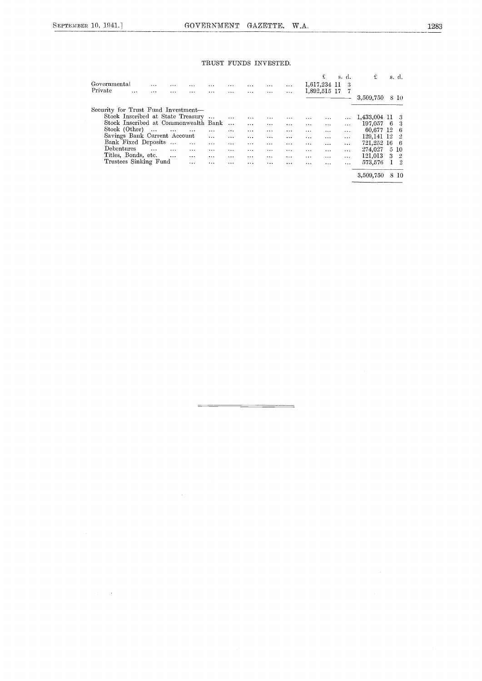#### TRUST FUNDS INVESTED.

| Governmental<br>$\cdots$<br>$\cdots$<br>$\cdots$                     | $\cdots$ | $\cdots$ | $\cdots$ | $\cdots$  | $\cdots$  | £<br>1,617,234 11    | s. d. | -3       | £            |    | s. d. |
|----------------------------------------------------------------------|----------|----------|----------|-----------|-----------|----------------------|-------|----------|--------------|----|-------|
| Private                                                              |          |          |          |           |           | 1,892,515 17         |       | 7        |              |    |       |
| $\cdots$<br>.<br><br>$\cdots$                                        | $\cdots$ | $\cdots$ |          | $\cdots$  | $\cdots$  |                      |       |          | 3,509,750    |    |       |
|                                                                      |          |          |          |           |           |                      |       |          |              |    | 8 10  |
| Security for Trust Fund Investment-                                  |          |          |          |           |           |                      |       |          |              |    |       |
| Stock Inscribed at State Treasury                                    |          | $\cdots$ | $\cdots$ | $\ddotsc$ |           | $\cdots$<br>$\cdots$ |       | $\cdots$ | 1,433,004 11 |    | -3    |
| Stock Inscribed at Commonwealth Bank                                 |          | $\cdots$ | $\cdots$ | $\cdots$  | $\ddotsc$ | $\cdots$<br>$\cdots$ |       | $\cdots$ | 197.057      | -6 | 3     |
| Stock (Other)<br>$\cdots$<br>$\sim$ 100 $\mu$ m $^{-1}$<br>$\ddotsc$ | $\cdots$ | $\cdots$ | $\cdots$ | $\cdots$  | $\cdots$  | $\cdots$<br>         |       | $\cdots$ | 60,677 12    |    | -6    |
| Savings Bauk Current Account                                         | $\cdots$ |          | $\cdots$ | $\cdots$  | $\cdots$  | $\cdots$<br>$\cdots$ |       | $\cdots$ | 129,141 12   |    | 2     |
| Bank Fixed Deposits<br>$\cdots$<br>$\ddots$                          | $\cdots$ | $\cdots$ | $\cdots$ | $\cdots$  | $\cdots$  | $\cdots$<br>$\cdots$ |       | $\cdots$ | 721,252      | 16 | 6     |
| Debentures<br>$\cdots$<br>$\cdots$<br>$\cdots$                       | $\cdots$ | $\cdots$ | $\cdots$ | $\cdots$  | $\cdots$  | $\cdots$<br>$\cdots$ |       | $\cdots$ | 274,027      |    | 5 10  |
| Titles, Bonds, etc.<br>$\cdots$<br>$\cdots$                          | $\cdots$ | $\cdots$ | $\cdots$ | $\cdots$  | $\cdots$  | $\cdots$<br>$\cdots$ |       | $\cdots$ | 121,013      | 3  | -2    |
| Trustees Sinking Fund<br>$\ddots$                                    |          | $\cdots$ |          | $\cdots$  | $\cdots$  | $\ddots$<br>$\cdots$ |       | $\cdots$ | 573,576      |    | - 2   |
|                                                                      |          |          |          |           |           |                      |       |          | 3,509,750    | 8  | -10   |

 $\frac{1}{2}$ 

 $\hat{\beta}$ 

 $\mathcal{L}_{\rm{max}}$  ,  $\mathcal{L}_{\rm{max}}$ 

 $\sim 10^7$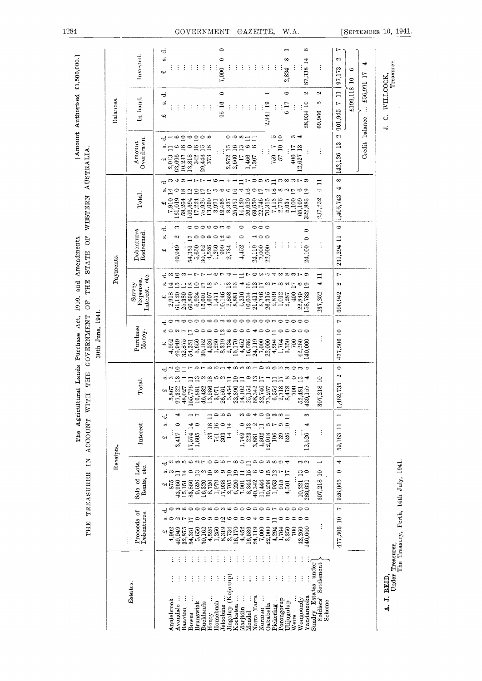|                                                                                                                                                                                                                                                                                                                                                                                                                                                            | THE                                                                                                                                                                                                                                                                                                                                                                                                | Receipts.<br>$\mathbf{K}$<br>TREASURER                                                                                                                                                                                                                                                                                                                                                                                                                                        | <b>ACCOUNT</b>                                                                                                                                                                                                                                                                                                                                                                               |                                                                                                                                                                                                                                                                                                                                                                                                                                                                                                                                                                   | 30th June, 1941.                                                                                                                                                                                                                                                                                                                                                                                                     | Payments.                                                                                                                                                                                                                                                                                                                                                                                                                                                                                                                                                                                                                                       |                                                                                                                                                                                                                                                                                                                                                                       |                                                                                                                                                                                                                                                                                                                                                                                                                                                                                                                         |                                                                                                                                                                                                                                                                                                                                                                                                                                                                                  | Balances                                                                                                                                                                                                   |                                                                                                                         |
|------------------------------------------------------------------------------------------------------------------------------------------------------------------------------------------------------------------------------------------------------------------------------------------------------------------------------------------------------------------------------------------------------------------------------------------------------------|----------------------------------------------------------------------------------------------------------------------------------------------------------------------------------------------------------------------------------------------------------------------------------------------------------------------------------------------------------------------------------------------------|-------------------------------------------------------------------------------------------------------------------------------------------------------------------------------------------------------------------------------------------------------------------------------------------------------------------------------------------------------------------------------------------------------------------------------------------------------------------------------|----------------------------------------------------------------------------------------------------------------------------------------------------------------------------------------------------------------------------------------------------------------------------------------------------------------------------------------------------------------------------------------------|-------------------------------------------------------------------------------------------------------------------------------------------------------------------------------------------------------------------------------------------------------------------------------------------------------------------------------------------------------------------------------------------------------------------------------------------------------------------------------------------------------------------------------------------------------------------|----------------------------------------------------------------------------------------------------------------------------------------------------------------------------------------------------------------------------------------------------------------------------------------------------------------------------------------------------------------------------------------------------------------------|-------------------------------------------------------------------------------------------------------------------------------------------------------------------------------------------------------------------------------------------------------------------------------------------------------------------------------------------------------------------------------------------------------------------------------------------------------------------------------------------------------------------------------------------------------------------------------------------------------------------------------------------------|-----------------------------------------------------------------------------------------------------------------------------------------------------------------------------------------------------------------------------------------------------------------------------------------------------------------------------------------------------------------------|-------------------------------------------------------------------------------------------------------------------------------------------------------------------------------------------------------------------------------------------------------------------------------------------------------------------------------------------------------------------------------------------------------------------------------------------------------------------------------------------------------------------------|----------------------------------------------------------------------------------------------------------------------------------------------------------------------------------------------------------------------------------------------------------------------------------------------------------------------------------------------------------------------------------------------------------------------------------------------------------------------------------|------------------------------------------------------------------------------------------------------------------------------------------------------------------------------------------------------------|-------------------------------------------------------------------------------------------------------------------------|
| Esta tes.                                                                                                                                                                                                                                                                                                                                                                                                                                                  | Proceeds of<br><b>Debentures</b>                                                                                                                                                                                                                                                                                                                                                                   | Sale of Lots,<br>Rents, etc.                                                                                                                                                                                                                                                                                                                                                                                                                                                  | Interest.                                                                                                                                                                                                                                                                                                                                                                                    | Total.                                                                                                                                                                                                                                                                                                                                                                                                                                                                                                                                                            | Purchase<br>Money.                                                                                                                                                                                                                                                                                                                                                                                                   | Interest, etc.<br>Expenses,<br>Survey                                                                                                                                                                                                                                                                                                                                                                                                                                                                                                                                                                                                           | Debentures<br>Redoemed                                                                                                                                                                                                                                                                                                                                                | Total.                                                                                                                                                                                                                                                                                                                                                                                                                                                                                                                  | Overdrawn<br>Amount                                                                                                                                                                                                                                                                                                                                                                                                                                                              | In hand.                                                                                                                                                                                                   | Invested.                                                                                                               |
| Sundry Estates under<br>Soldiers' Settlement<br>Jingalup (Kojonup)<br>$\ddot{\cdot}$<br>$\vdots$<br>÷<br>$\vdots$<br>÷<br>÷<br>$\ddot{\cdot}$<br>÷<br>$\vdots$<br>Kockatea<br>Yandanooka<br>Narra Tarra<br>$\vdots$<br>Pickering<br>Avondale<br>Wongoondy<br>Porongorup<br>Anniebrook<br>Scheme<br>Ulijugulup<br>Brunswick<br><b>Bucklands</b><br>Homebush<br>Oakabella<br>Jelcobine<br>Marjidin<br>Baacton<br>Norman<br>Mendel<br>Bowes<br>Henty<br>Weirs | t-<br>900000000000000000<br>000<br>≎<br>$\overline{2}$<br>$\circ$<br>477,506 10<br>$\overline{1}$<br>$\circ$<br>ာ ဝ<br>అ<br>0<br>0<br>ゅついい<br>∘<br>₩<br>$\circ$<br>$\vdots$<br>$\frac{4,526}{1,250}$<br>$54,351$<br>$5,650$<br>2,734<br>16,170<br>4,452<br>24,119<br>7,000<br>22,000<br>4,294<br>1,764<br>3,350<br>42,260<br>140,000<br>4,992<br>49,949<br>32,875<br>30,162<br>16,586<br>700<br>47 | よ2350070051801908894<br>₩<br>ကဂၢ<br>$\overline{\phantom{0}}$<br>$\overline{55}$ ក<br>$\circ$<br>¤`∞;⊐¤∽¤∾≘∞∞≘<br>222<br>ه<br>$\circ$<br>$\frac{3}{2}$<br>307,218 10<br>$\overline{17}$<br>2000<br>2000<br>2000<br>2000<br>10,221<br>926,065<br>$\begin{array}{c} 8,726 \\ 1,979 \\ 17,938 \end{array}$<br>40,342<br>39,238<br>1,953<br>$\begin{array}{c} 4.8 \\ 8.2 \end{array}$<br>9,626<br>11,444<br>$\frac{915}{4,501}$<br>83,850<br>16,320<br>286,631<br>43,956<br>15,151 | ာ 10 တ<br><sup>m @ 4</sup> 우 음 ~ ∞ 급<br>S<br>$-1$<br>÷<br>$\Box$<br>ರ<br>$\overline{10}$<br>$\circ$<br>33 18<br>16<br>$\degree$<br>w.<br>17,574 14<br>$\circ$<br>$\circ$ $\frac{3}{11}$<br>$\frac{2}{1}$<br>10 L-<br>ာ<br>₩<br>59,163 11<br>$\vdots$<br>741<br>1,605<br>$303 \atop 14$<br>223<br>4,302<br>12,526<br>3,417<br>1,749<br>2,018<br>626<br>106<br>$\mathbb{S}^3$<br>3,881<br>વનરે | $\bullet$<br>-ಕ ∾ ದ<br>ா<br>ю<br>∞<br>C.<br>$\infty$<br><b>000</b><br>းဝ က<br>က ဟ<br>$\equiv$<br>₩<br>⊣<br>C)<br>$\frac{3}{2}$<br>$^{8}$<br>$\overline{19}$<br>ဟံ့ က<br>$\mathbf{r}$<br>N<br>ယက<br>$\mathbf{r}$<br>$\overline{17}$<br>$\overline{17}$<br>$^{\circ}$<br>$\overline{13}$<br>$\Xi$<br>$\Xi$<br>$\circ$<br>₩<br>,462,735<br>13,286<br>3,955<br>2,354<br>2,359<br>2,359<br>155,776<br>$14,102$<br>$25,154$<br>807,218<br>342<br>555548<br>6355458<br>63565478<br>$\frac{5,867}{97,322}$<br>46,482<br>48,027<br>700<br>139,157<br>16,881<br>52,481<br>پ | H<br>dowaoooo<br>ణ అం<br>$\circ \circ \circ \circ \circ \circ \circ$<br>$\circ$<br>っ<br>ojΟ<br>$A - E$<br>್ಷ ಹಿಂ<br>$\circ$<br>400-looo<br>$\circ$<br>477,506 10<br>0 ၈ ၀<br>$\circ$<br>16,586<br>$\frac{22,000}{4,294}$<br>5,650<br>30,162<br>4,526<br>1,250<br>8,319<br>2,734<br>16,170<br>4,452<br>24,119<br>7,000<br>1,764<br>3,350<br>$4,992$<br>$49,949$<br>700<br>42,260<br>40,000<br>32,875<br>54,351<br>વનર | H<br>$\Xi$ $\omega$<br>$\Xi$ r<br>$\omega$ rom $4\omega$ core reading $\omega$<br>ာ<br>-ಕು<br>⊣⊶<br>$\Xi$<br>4<br>4<br>$\begin{array}{c}\n 16 \\  20 \\  \hline\n 1\n \end{array}$<br>15<br>$\begin{array}{c}\n\Xi \cong \Xi\n\end{array}$<br>$\frac{3}{16}$<br>$\omega$ $\sim$<br>$\infty$ $\sim$ $\sim$<br>C)<br>∾ं ∓<br>Ē<br>$\frac{8}{10}$ in $\frac{1}{2}$<br>$\ddot{\circ}$<br>19<br>2,858<br>10,034<br>61,120<br>5,924<br>5,216<br>$^{21,411}_{8,746}$<br>400<br>58,783<br>237,252<br>$\frac{25,389}{60,890}$<br>10,146<br>$\frac{26,315}{2,819}$<br>2,287<br>22,849<br>696,942<br>4,607<br>8,881<br>1,012<br>2,918<br>15,601<br>$1,471$ | Ġ<br>S,<br>0<br>00<br>00000<br>S<br>ల<br>$\circ$<br>ರ<br>$\bullet$<br>$\mathbf{r}$<br>అ<br>0<br>$\circ$<br>J.<br>C)<br>$\circ$<br>$\circ \circ \circ$<br>⇥<br>0<br>$\overline{17}$<br>$\Xi$<br>24,100 0<br>$\vdots$<br>÷<br>÷<br>÷<br>231,294<br>999<br>4,452<br>24,119<br>$4,526$<br>1,250<br>2,734<br>49,949<br>5,650<br>7,000<br>22,000<br>54,351<br>30,162<br>વનર | $\infty$<br>$\Xi$ room<br>∹ ∾<br>≎<br>$    \circ$<br>$\Box$ $\infty$ $\infty$ $\sim$<br>₩<br>$\Box$<br>₩<br>4<br>4<br>0.598<br>$\mathbf{14}$<br>16<br>$16\,$<br>$\infty$<br>$\overline{19}$<br>U)<br>$^{2}$<br>$\Xi$<br>$\overline{1}$<br>10 O<br>అ<br>≌<br>旨<br>1,405,743<br>26,620<br>7,910<br>237,252<br>$\frac{22,746}{70,315}$<br>7,113<br>1,100<br>161,019<br>58,264<br>69,594<br>17,224<br>75,925<br>14,120<br>$\frac{2}{5}$ ,776<br>65,109<br>322,883<br>13,660<br>19,465<br>69,650<br>3,971<br>8,327<br>25,051 | C)<br>3<br>3<br>4<br>$\frac{5}{10}$<br>႕႕ေဖာင္အျဖင္အာ၀ ေ<br>$\circ \circ \circ \pi$<br>$\Box$<br>13<br>$\overline{10}$<br>$\frac{6}{16}$<br>$\mathbf{E}$<br>G<br>$\circ$<br>$\circ$<br>$\Xi$<br>$\mathbf{r}$<br>ຶ⊟<br>$^{18}$<br>$\tilde{e}$<br>$\overline{16}$<br>ŗ<br>400 17<br>2,627 13<br>$\ddot{\cdot}$<br>$\vdots$<br>142,126<br>2,660<br>443<br>2,872<br>342<br>$759$ $\,$<br>13,818<br>373<br>1,466<br>63,696<br>10,237<br>$\overline{11}$<br>2,043<br>1,307<br>پ<br>29. | $\Xi$<br>0<br>అ<br>2<br>C٦,<br>ರ<br>ıċ,<br>ø<br>95 16<br>2,941 19<br>28,934 10<br>Ļ<br>6 17<br>$\vdots$<br>$\vdots$<br>$\vdots$<br>$\vdots$<br>$\vdots$<br>÷<br>$\vdots$<br>÷<br>101,945<br>69,966<br>વનરે | అ<br>r<br>ಠ<br>ó<br>Z<br>∞<br>87,338 14<br>4<br>÷<br>÷<br>÷<br>÷<br>7,000<br>97,173<br>2,834<br>6<br>ہب<br>$\mathbf{r}$ |
|                                                                                                                                                                                                                                                                                                                                                                                                                                                            |                                                                                                                                                                                                                                                                                                                                                                                                    |                                                                                                                                                                                                                                                                                                                                                                                                                                                                               |                                                                                                                                                                                                                                                                                                                                                                                              |                                                                                                                                                                                                                                                                                                                                                                                                                                                                                                                                                                   |                                                                                                                                                                                                                                                                                                                                                                                                                      |                                                                                                                                                                                                                                                                                                                                                                                                                                                                                                                                                                                                                                                 |                                                                                                                                                                                                                                                                                                                                                                       |                                                                                                                                                                                                                                                                                                                                                                                                                                                                                                                         |                                                                                                                                                                                                                                                                                                                                                                                                                                                                                  |                                                                                                                                                                                                            | $$ £56,991 17<br>£199,118<br>Credit balance                                                                             |

1284

[Amount Authorized £1,500,000.]

The Agricultural Lands Furchase Act, 1909, and Amendments.

J. C. WILLCOCK,<br>Treasurer.

A. J. REID,  $\begin{tabular}{ll} \bf{A. \ J. \ RBD} \\ Under Theensure, \\ The Treasury, \ Pert, \\ 14th \ July, 1941. \end{tabular}$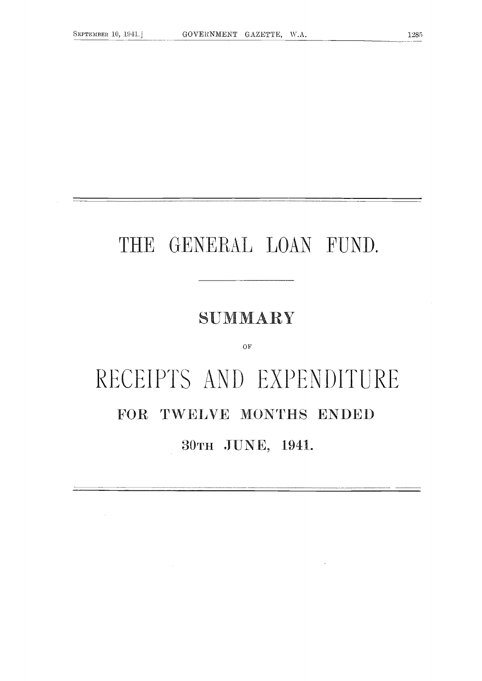## THE GENERAL LOAN FUND.

### SUMMARY

#### OF

# RECEIPTS AND EXPENDITURE FOR TWELVE MONTHS ENDED 30TH JUNE, 1941.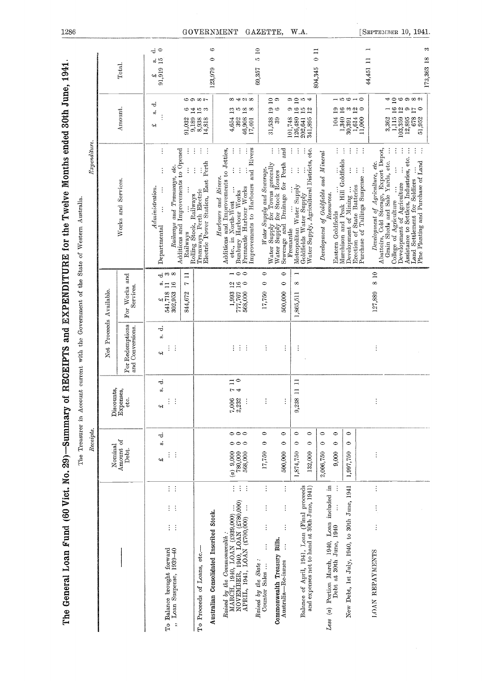|                                                                                                                                                          | Receipts                                                                                          |                                                                       |                                                        |                                                                                                | $\emph{Expenditive}.$                                                                                                                                                                                                                                                                                                                                                                                                                                                                                                                                                                                               |                                                                                                                                                                        |                                                                                 |
|----------------------------------------------------------------------------------------------------------------------------------------------------------|---------------------------------------------------------------------------------------------------|-----------------------------------------------------------------------|--------------------------------------------------------|------------------------------------------------------------------------------------------------|---------------------------------------------------------------------------------------------------------------------------------------------------------------------------------------------------------------------------------------------------------------------------------------------------------------------------------------------------------------------------------------------------------------------------------------------------------------------------------------------------------------------------------------------------------------------------------------------------------------------|------------------------------------------------------------------------------------------------------------------------------------------------------------------------|---------------------------------------------------------------------------------|
|                                                                                                                                                          | Nominal                                                                                           | Discounts,                                                            | Net Proceeds                                           | Available.                                                                                     |                                                                                                                                                                                                                                                                                                                                                                                                                                                                                                                                                                                                                     |                                                                                                                                                                        |                                                                                 |
|                                                                                                                                                          | Amount of<br>Debt.                                                                                | Expenses,<br>etc                                                      | For Redemptions<br>and Conversions.                    | For Works and<br>Services.                                                                     | Works and Services.                                                                                                                                                                                                                                                                                                                                                                                                                                                                                                                                                                                                 | Amount.                                                                                                                                                                | Total.                                                                          |
| $\frac{1}{2}$ .<br>$\mathbb{R}^n$<br>$\mathcal{C}_{\mathcal{A}}$<br>To Balance brought forward<br>" Loan Suspense, 1939-40                               | ಕ<br>á<br>÷,<br>÷<br>c4)                                                                          | ಕ<br>ö.<br>i, i<br>42                                                 | ರ<br>o)<br>$\frac{1}{2}$ .<br>H                        | $\overset{\circ}{=}$ $\overset{\circ}{=}$<br>$\frac{2}{541,718}$<br>302,953                    | ÷<br>Railways and Tramways, etc.<br>Additions and Improvements to Opened<br>İ<br>Admini stration.<br>Departmental                                                                                                                                                                                                                                                                                                                                                                                                                                                                                                   | ಕ<br>w.<br>43                                                                                                                                                          | $\vec{c}$<br>$\begin{array}{ccc}\n\pounds & \mathbf{s}.\n\end{array}$ 91,919 15 |
|                                                                                                                                                          |                                                                                                   |                                                                       |                                                        | Ξ<br>$\mathbf{r}$<br>844,672                                                                   | ÷<br>$\vdots$<br>Railways                                                                                                                                                                                                                                                                                                                                                                                                                                                                                                                                                                                           |                                                                                                                                                                        |                                                                                 |
| To Proceeds of Loans, etc.-                                                                                                                              |                                                                                                   |                                                                       |                                                        |                                                                                                | ÷.<br>÷<br>÷<br>Electric Power Station, East Perth<br>$\vdots$<br>Rolling Stock, Railways<br>Tramways, Perth Electric                                                                                                                                                                                                                                                                                                                                                                                                                                                                                               | စေအေဇး<br>$\frac{64}{10}$ $\frac{1}{2}$<br>$\begin{array}{c} 91,032 \\ 9,189 \\ 8,938 \\ 14,818 \end{array}$                                                           |                                                                                 |
| Australian Consolidated Inscribed Stock.                                                                                                                 |                                                                                                   |                                                                       |                                                        |                                                                                                |                                                                                                                                                                                                                                                                                                                                                                                                                                                                                                                                                                                                                     |                                                                                                                                                                        | $\circ$<br>123,979                                                              |
| $\frac{1}{2}$ .<br>÷.<br>Raised by the Commonwealth :<br>MARCH, 1940, LOAN (£939,000)<br>NOVEMBER, 1940, LOAN (£780,000)<br>APRIL, 1941, LOAN (£700,000) | $\circ \circ \circ$<br>000<br>$\begin{pmatrix} a & 9 & 000 \\ 780 & 000 \end{pmatrix}$<br>568,000 | $\begin{array}{c} 7 & 11 \\ 4 & 0 \end{array}$<br>7,006<br>2,232<br>÷ | $\left\{ \begin{array}{c} 1 \\ 1 \end{array} \right\}$ | $\lnot \lnot \lnot \lnot$<br>280<br>$\begin{array}{c} 1,993 \\ 777,767 \\ 568,000 \end{array}$ | and Rivers<br>Additions and Improvements to Jetties,<br>$\vdots$<br>$\vdots$<br>Harbours and Rivers.<br>Improvements to Harbours<br>Fremantle Harbour Works<br>Eunbury Harbour Works<br>etc., in North-West                                                                                                                                                                                                                                                                                                                                                                                                         | $\infty$ 4 $\infty$<br>$\vec{a}$<br>$\frac{8}{8}$<br>4,654<br>$\begin{array}{c} 392 \\ 46,908 \\ 17,401 \end{array}$                                                   |                                                                                 |
| $\vdots$<br>I<br>$\vdots$<br>$\vdots$<br>Raised by the State:<br>Counter Sales                                                                           | $\bullet$<br>$\circ$<br>17,750                                                                    | ÷                                                                     | $\vdots$                                               | $\circ$<br>$\circ$<br>17,750                                                                   |                                                                                                                                                                                                                                                                                                                                                                                                                                                                                                                                                                                                                     |                                                                                                                                                                        | $\approx$<br>ìQ.<br>69,357                                                      |
| $\vdots$<br>$\vdots$<br>$\vdots$<br>Commonwealth Treasury Bills.<br>$\vdots$<br>Australia-Re-issues                                                      | $\circ$<br>$\circ$<br>500,000                                                                     | ÷                                                                     | ŧ                                                      | $\circ$<br>$\circ$<br>500,000                                                                  | and<br>÷<br>÷<br><i>Water Supply and Severage.</i><br>Water Supply for Towns generally<br>Water Supply for Stock Routes<br>Sewerage and Drainage for Perth                                                                                                                                                                                                                                                                                                                                                                                                                                                          | $\frac{1}{2}$<br>$\frac{5}{10}$<br>$31,538$<br>$39$                                                                                                                    |                                                                                 |
| Balance of April, 1941, Loan (Final proceeds                                                                                                             | 0<br>0<br>1,874,750                                                                               | $\Xi$<br>$\Xi$<br>9,238                                               | ÷                                                      | $\overline{ }$<br>$\infty$<br>1,865,511                                                        | ÷<br>$\vdots$<br>Fremantle                                                                                                                                                                                                                                                                                                                                                                                                                                                                                                                                                                                          | $\overline{a}$ $\overline{b}$ $\overline{a}$ $\overline{a}$<br>$\frac{1}{2}$<br>101,748<br>126,480<br>202,641                                                          |                                                                                 |
| and expenses not to hand at 30th June, 1941)                                                                                                             | $\circ$<br>$\circ$<br>132,000                                                                     |                                                                       |                                                        |                                                                                                | Metropolitan Water Supply<br>Goldfields Water Supply<br>Water Supply, Agricultural Districts, etc.                                                                                                                                                                                                                                                                                                                                                                                                                                                                                                                  | 341,895                                                                                                                                                                | $\frac{11}{2}$<br>804,345                                                       |
| Less $(a)$ Portion March, 1940, Loan included in Debt at 30th June, 1940                                                                                 | $\circ$<br>$\circ$<br>$\circ$<br>$\circ$<br>2,006,750<br>9,000                                    |                                                                       |                                                        |                                                                                                | Development of Goldfields and Mineral<br><b>Eastern Goldfields</b>                                                                                                                                                                                                                                                                                                                                                                                                                                                                                                                                                  | $\frac{1}{2}$<br>104                                                                                                                                                   |                                                                                 |
| New Debt, 1st July, 1940, to 30th June, 1941                                                                                                             | $\bullet$<br>$\bullet$<br>1,997,750                                                               |                                                                       |                                                        |                                                                                                | $\frac{1}{2}$<br>÷<br>Hasseen Gottnieus<br>Murchison and Peak Hill Goldfields<br>Development of Mining                                                                                                                                                                                                                                                                                                                                                                                                                                                                                                              | $\overline{1}$ to $\overline{0}$ $\overline{0}$ $\overline{0}$ $\overline{0}$<br>$\begin{array}{c} 1,340 \ 16 \\ 30,391 \ 3 \\ 1,614 \ 12 \\ 1,000 \ 0 \\ \end{array}$ |                                                                                 |
|                                                                                                                                                          |                                                                                                   |                                                                       |                                                        |                                                                                                | $\sim$<br>$\vdots$<br>Furchase of Tailings Suspense<br>Erection of State Batteries                                                                                                                                                                                                                                                                                                                                                                                                                                                                                                                                  |                                                                                                                                                                        |                                                                                 |
| $\vdots$<br>$\frac{1}{2}$<br>$\vdots$<br><b>ILOAN REPAYMENTS</b>                                                                                         | $\vdots$                                                                                          | ÷                                                                     | $\vdots$                                               | 8 10<br>127,889                                                                                | <i>Development of Agriculture, etc.</i><br>Abattoirs, Cold Storage, Export Depot,<br>Grain Sheds and Sale Yards, etc.<br>College of Agriculture                                                                                                                                                                                                                                                                                                                                                                                                                                                                     | 1,115<br>3,362                                                                                                                                                         | 44,451 11                                                                       |
|                                                                                                                                                          |                                                                                                   |                                                                       |                                                        |                                                                                                | ÷<br>÷<br>$\ddot{z}$<br>÷<br>$\begin{minipage}{.4\textwidth} \begin{minipage}{.4\textwidth} \begin{minipage}{.4\textwidth} \begin{minipage}{.4\textwidth} \begin{minipage}{.4\textwidth} \begin{minipage}{.4\textwidth} \begin{minipage}{.4\textwidth} \begin{minipage}{.4\textwidth} \begin{minipage}{.4\textwidth} \begin{minipage}{.4\textwidth} \begin{minipage}{.4\textwidth} \begin{minipage}{.4\textwidth} \begin{minipage}{.4\textwidth} \begin{minipage}{.4\textwidth} \begin{minipage}{.4\textwidth} \begin{minipage}{.4\textwidth} \begin{minipage}{.4\textwidth$<br>Anna processes and Purchase of Land | <b>႕ ၁၀၀၀၀</b><br>$^{16}_{12}$<br>$\circ E_{\circ}$<br>$\frac{103,359}{12,895}$<br>51,952                                                                              |                                                                                 |

[SEPTEMBER 10, 1941.